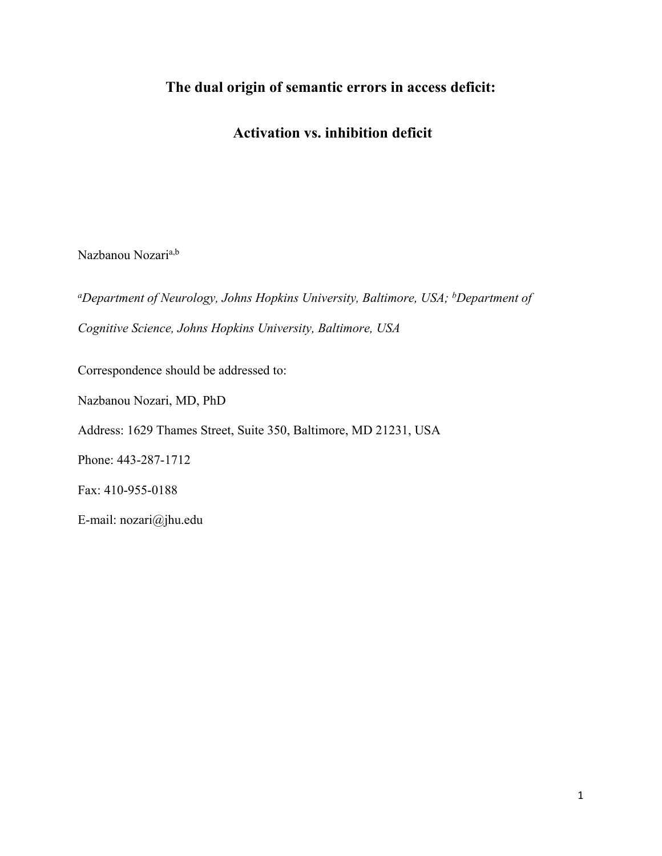# **The dual origin of semantic errors in access deficit:**

## **Activation vs. inhibition deficit**

Nazbanou Nozari<sup>a,b</sup>

*aDepartment of Neurology, Johns Hopkins University, Baltimore, USA; b Department of Cognitive Science, Johns Hopkins University, Baltimore, USA*

Correspondence should be addressed to:

Nazbanou Nozari, MD, PhD

Address: 1629 Thames Street, Suite 350, Baltimore, MD 21231, USA

Phone: 443-287-1712

Fax: 410-955-0188

E-mail: nozari@jhu.edu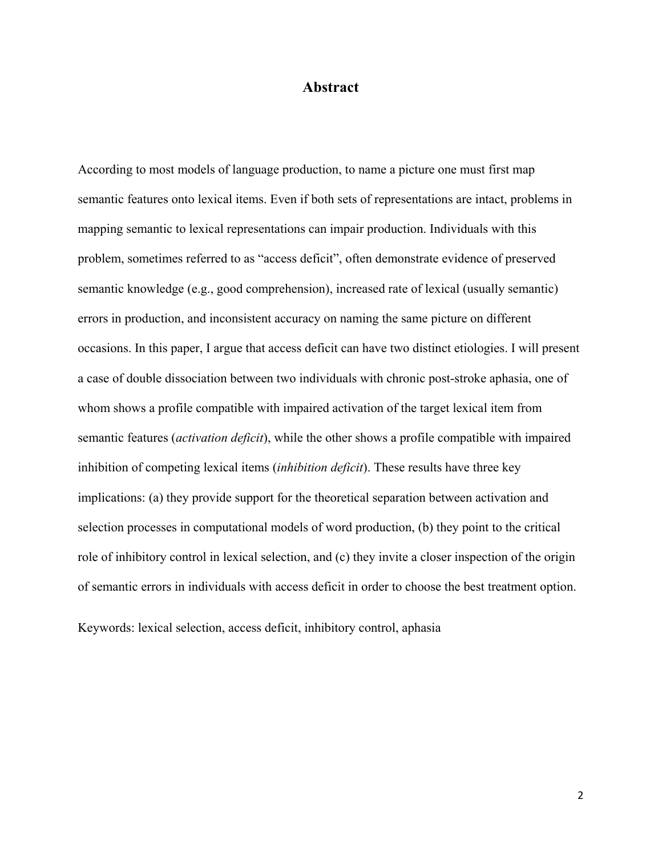### **Abstract**

According to most models of language production, to name a picture one must first map semantic features onto lexical items. Even if both sets of representations are intact, problems in mapping semantic to lexical representations can impair production. Individuals with this problem, sometimes referred to as "access deficit", often demonstrate evidence of preserved semantic knowledge (e.g., good comprehension), increased rate of lexical (usually semantic) errors in production, and inconsistent accuracy on naming the same picture on different occasions. In this paper, I argue that access deficit can have two distinct etiologies. I will present a case of double dissociation between two individuals with chronic post-stroke aphasia, one of whom shows a profile compatible with impaired activation of the target lexical item from semantic features (*activation deficit*), while the other shows a profile compatible with impaired inhibition of competing lexical items (*inhibition deficit*). These results have three key implications: (a) they provide support for the theoretical separation between activation and selection processes in computational models of word production, (b) they point to the critical role of inhibitory control in lexical selection, and (c) they invite a closer inspection of the origin of semantic errors in individuals with access deficit in order to choose the best treatment option.

Keywords: lexical selection, access deficit, inhibitory control, aphasia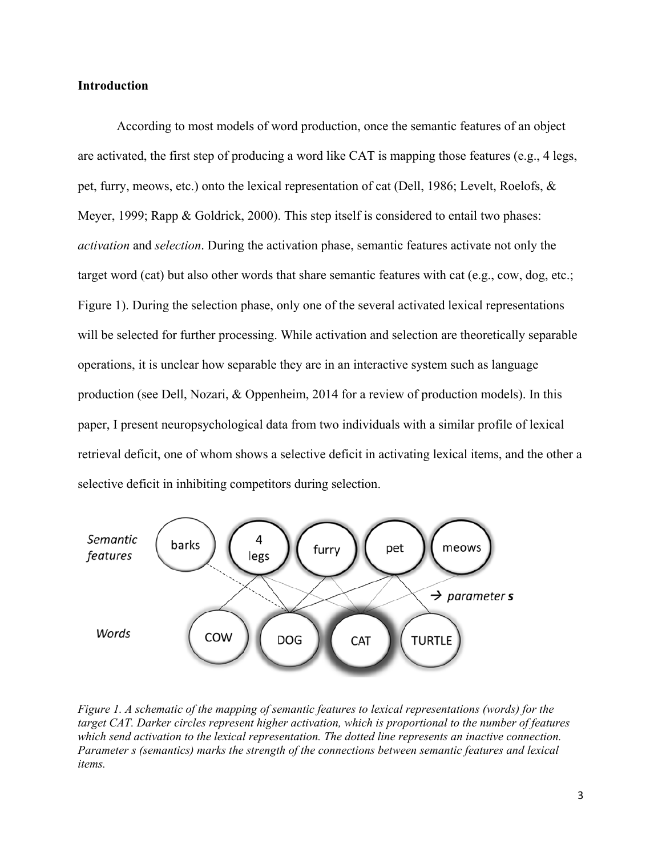### **Introduction**

According to most models of word production, once the semantic features of an object are activated, the first step of producing a word like CAT is mapping those features (e.g., 4 legs, pet, furry, meows, etc.) onto the lexical representation of cat (Dell, 1986; Levelt, Roelofs, & Meyer, 1999; Rapp & Goldrick, 2000). This step itself is considered to entail two phases: *activation* and *selection*. During the activation phase, semantic features activate not only the target word (cat) but also other words that share semantic features with cat (e.g., cow, dog, etc.; Figure 1). During the selection phase, only one of the several activated lexical representations will be selected for further processing. While activation and selection are theoretically separable operations, it is unclear how separable they are in an interactive system such as language production (see Dell, Nozari, & Oppenheim, 2014 for a review of production models). In this paper, I present neuropsychological data from two individuals with a similar profile of lexical retrieval deficit, one of whom shows a selective deficit in activating lexical items, and the other a selective deficit in inhibiting competitors during selection.



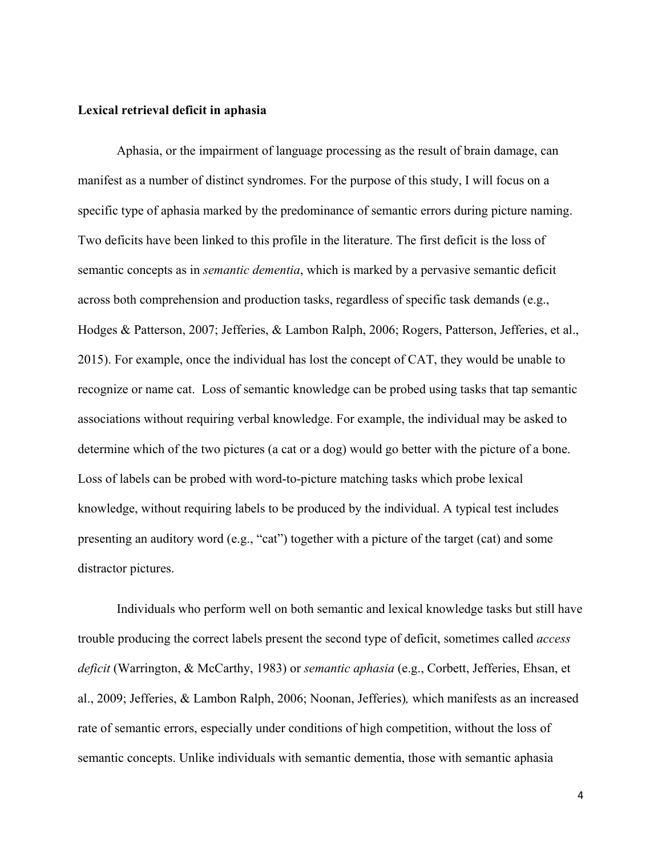#### **Lexical retrieval deficit in aphasia**

Aphasia, or the impairment of language processing as the result of brain damage, can manifest as a number of distinct syndromes. For the purpose of this study, I will focus on a specific type of aphasia marked by the predominance of semantic errors during picture naming. Two deficits have been linked to this profile in the literature. The first deficit is the loss of semantic concepts as in *semantic dementia*, which is marked by a pervasive semantic deficit across both comprehension and production tasks, regardless of specific task demands (e.g., Hodges & Patterson, 2007; Jefferies, & Lambon Ralph, 2006; Rogers, Patterson, Jefferies, et al., 2015). For example, once the individual has lost the concept of CAT, they would be unable to recognize or name cat. Loss of semantic knowledge can be probed using tasks that tap semantic associations without requiring verbal knowledge. For example, the individual may be asked to determine which of the two pictures (a cat or a dog) would go better with the picture of a bone. Loss of labels can be probed with word-to-picture matching tasks which probe lexical knowledge, without requiring labels to be produced by the individual. A typical test includes presenting an auditory word (e.g., "cat") together with a picture of the target (cat) and some distractor pictures.

Individuals who perform well on both semantic and lexical knowledge tasks but still have trouble producing the correct labels present the second type of deficit, sometimes called *access deficit* (Warrington, & McCarthy, 1983) or *semantic aphasia* (e.g., Corbett, Jefferies, Ehsan, et al., 2009; Jefferies, & Lambon Ralph, 2006; Noonan, Jefferies)*,* which manifests as an increased rate of semantic errors, especially under conditions of high competition, without the loss of semantic concepts. Unlike individuals with semantic dementia, those with semantic aphasia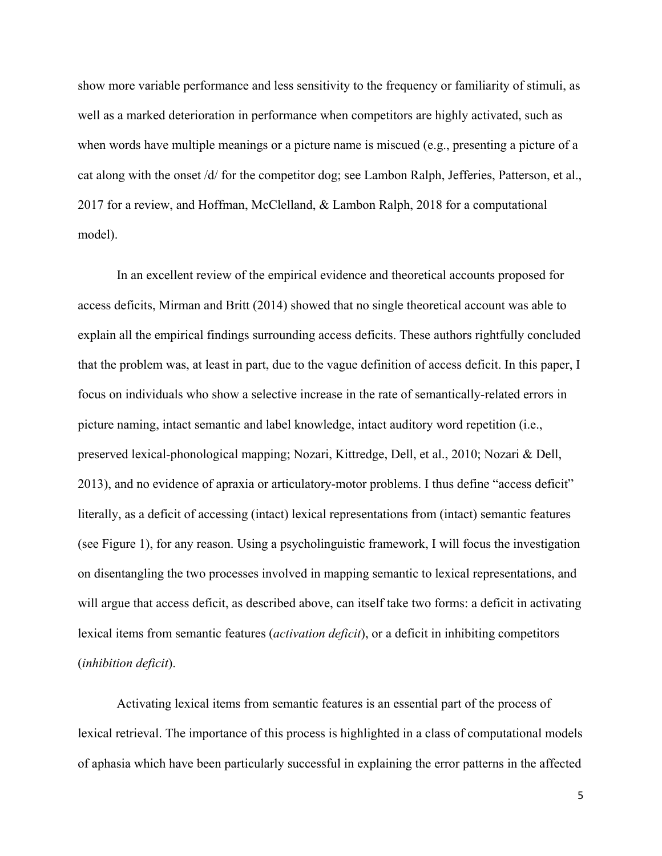show more variable performance and less sensitivity to the frequency or familiarity of stimuli, as well as a marked deterioration in performance when competitors are highly activated, such as when words have multiple meanings or a picture name is miscued (e.g., presenting a picture of a cat along with the onset /d/ for the competitor dog; see Lambon Ralph, Jefferies, Patterson, et al., 2017 for a review, and Hoffman, McClelland, & Lambon Ralph, 2018 for a computational model).

In an excellent review of the empirical evidence and theoretical accounts proposed for access deficits, Mirman and Britt (2014) showed that no single theoretical account was able to explain all the empirical findings surrounding access deficits. These authors rightfully concluded that the problem was, at least in part, due to the vague definition of access deficit. In this paper, I focus on individuals who show a selective increase in the rate of semantically-related errors in picture naming, intact semantic and label knowledge, intact auditory word repetition (i.e., preserved lexical-phonological mapping; Nozari, Kittredge, Dell, et al., 2010; Nozari & Dell, 2013), and no evidence of apraxia or articulatory-motor problems. I thus define "access deficit" literally, as a deficit of accessing (intact) lexical representations from (intact) semantic features (see Figure 1), for any reason. Using a psycholinguistic framework, I will focus the investigation on disentangling the two processes involved in mapping semantic to lexical representations, and will argue that access deficit, as described above, can itself take two forms: a deficit in activating lexical items from semantic features (*activation deficit*), or a deficit in inhibiting competitors (*inhibition deficit*).

Activating lexical items from semantic features is an essential part of the process of lexical retrieval. The importance of this process is highlighted in a class of computational models of aphasia which have been particularly successful in explaining the error patterns in the affected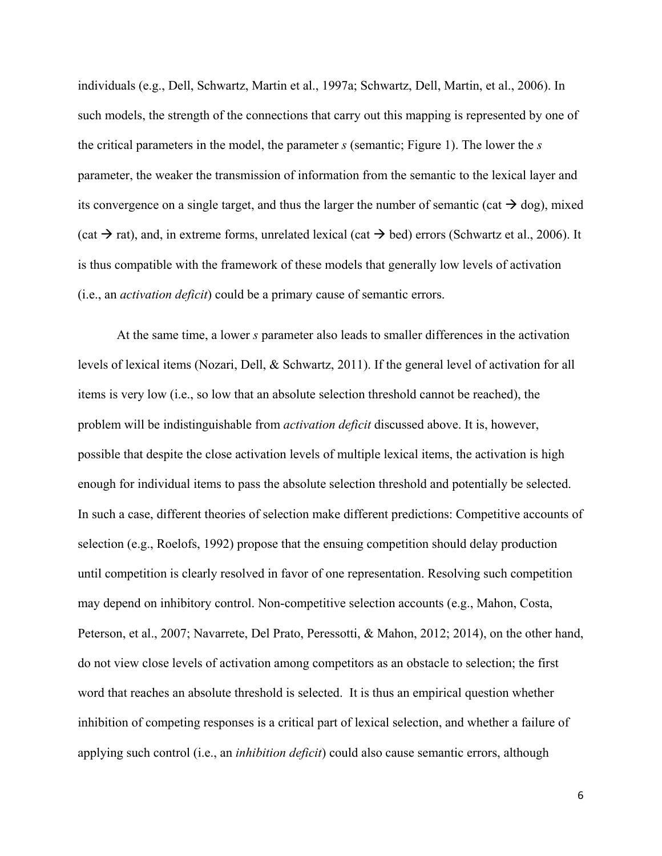individuals (e.g., Dell, Schwartz, Martin et al., 1997a; Schwartz, Dell, Martin, et al., 2006). In such models, the strength of the connections that carry out this mapping is represented by one of the critical parameters in the model, the parameter *s* (semantic; Figure 1). The lower the *s* parameter, the weaker the transmission of information from the semantic to the lexical layer and its convergence on a single target, and thus the larger the number of semantic (cat  $\rightarrow$  dog), mixed (cat  $\rightarrow$  rat), and, in extreme forms, unrelated lexical (cat  $\rightarrow$  bed) errors (Schwartz et al., 2006). It is thus compatible with the framework of these models that generally low levels of activation (i.e., an *activation deficit*) could be a primary cause of semantic errors.

At the same time, a lower *s* parameter also leads to smaller differences in the activation levels of lexical items (Nozari, Dell, & Schwartz, 2011). If the general level of activation for all items is very low (i.e., so low that an absolute selection threshold cannot be reached), the problem will be indistinguishable from *activation deficit* discussed above. It is, however, possible that despite the close activation levels of multiple lexical items, the activation is high enough for individual items to pass the absolute selection threshold and potentially be selected. In such a case, different theories of selection make different predictions: Competitive accounts of selection (e.g., Roelofs, 1992) propose that the ensuing competition should delay production until competition is clearly resolved in favor of one representation. Resolving such competition may depend on inhibitory control. Non-competitive selection accounts (e.g., Mahon, Costa, Peterson, et al., 2007; Navarrete, Del Prato, Peressotti, & Mahon, 2012; 2014), on the other hand, do not view close levels of activation among competitors as an obstacle to selection; the first word that reaches an absolute threshold is selected. It is thus an empirical question whether inhibition of competing responses is a critical part of lexical selection, and whether a failure of applying such control (i.e., an *inhibition deficit*) could also cause semantic errors, although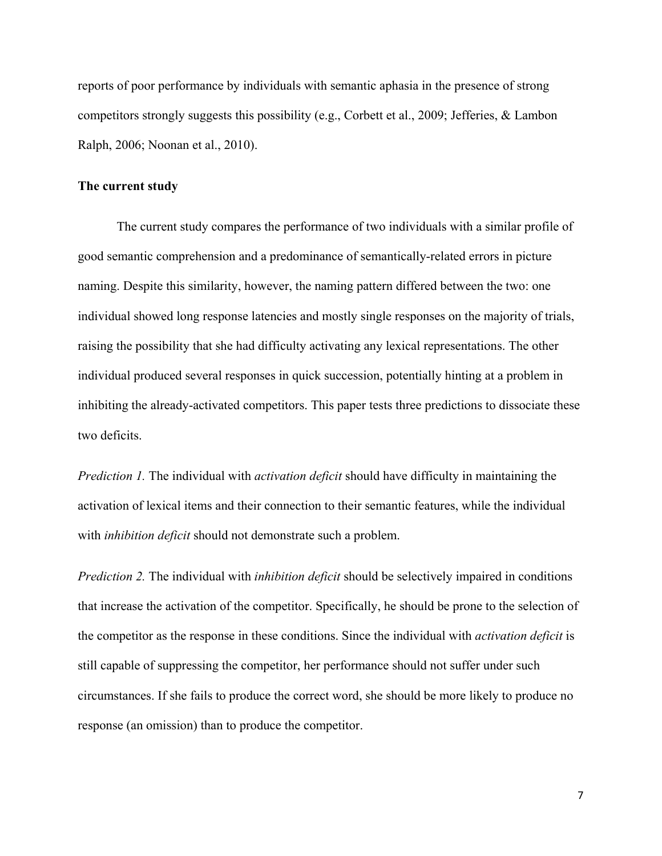reports of poor performance by individuals with semantic aphasia in the presence of strong competitors strongly suggests this possibility (e.g., Corbett et al., 2009; Jefferies, & Lambon Ralph, 2006; Noonan et al., 2010).

#### **The current study**

The current study compares the performance of two individuals with a similar profile of good semantic comprehension and a predominance of semantically-related errors in picture naming. Despite this similarity, however, the naming pattern differed between the two: one individual showed long response latencies and mostly single responses on the majority of trials, raising the possibility that she had difficulty activating any lexical representations. The other individual produced several responses in quick succession, potentially hinting at a problem in inhibiting the already-activated competitors. This paper tests three predictions to dissociate these two deficits.

*Prediction 1.* The individual with *activation deficit* should have difficulty in maintaining the activation of lexical items and their connection to their semantic features, while the individual with *inhibition deficit* should not demonstrate such a problem.

*Prediction 2.* The individual with *inhibition deficit* should be selectively impaired in conditions that increase the activation of the competitor. Specifically, he should be prone to the selection of the competitor as the response in these conditions. Since the individual with *activation deficit* is still capable of suppressing the competitor, her performance should not suffer under such circumstances. If she fails to produce the correct word, she should be more likely to produce no response (an omission) than to produce the competitor.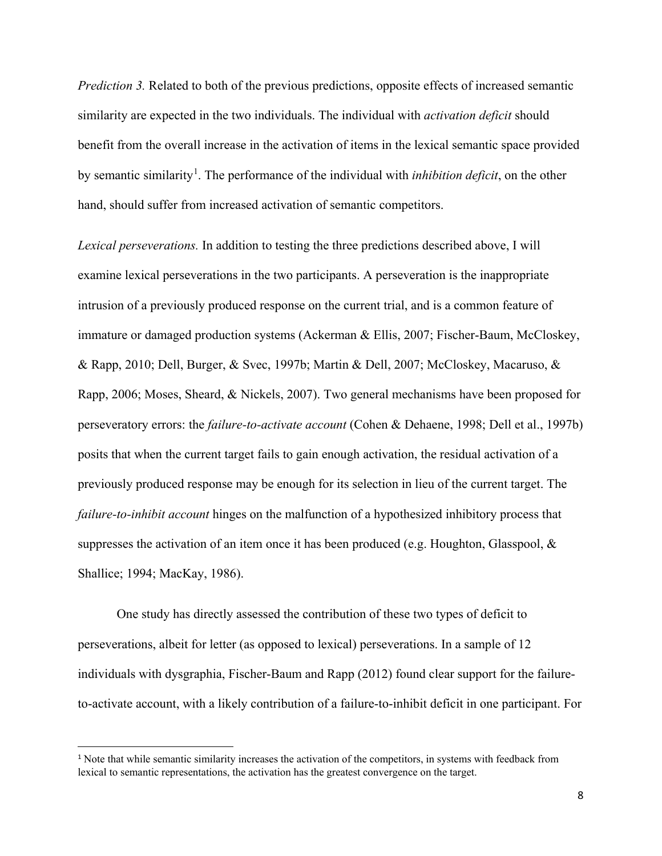*Prediction 3.* Related to both of the previous predictions, opposite effects of increased semantic similarity are expected in the two individuals. The individual with *activation deficit* should benefit from the overall increase in the activation of items in the lexical semantic space provided by semantic similarity<sup>[1](#page-7-0)</sup>. The performance of the individual with *inhibition deficit*, on the other hand, should suffer from increased activation of semantic competitors.

*Lexical perseverations.* In addition to testing the three predictions described above, I will examine lexical perseverations in the two participants. A perseveration is the inappropriate intrusion of a previously produced response on the current trial, and is a common feature of immature or damaged production systems (Ackerman & Ellis, 2007; Fischer-Baum, McCloskey, & Rapp, 2010; Dell, Burger, & Svec, 1997b; Martin & Dell, 2007; McCloskey, Macaruso, & Rapp, 2006; Moses, Sheard, & Nickels, 2007). Two general mechanisms have been proposed for perseveratory errors: the *failure-to-activate account* (Cohen & Dehaene, 1998; Dell et al., 1997b) posits that when the current target fails to gain enough activation, the residual activation of a previously produced response may be enough for its selection in lieu of the current target. The *failure-to-inhibit account* hinges on the malfunction of a hypothesized inhibitory process that suppresses the activation of an item once it has been produced (e.g. Houghton, Glasspool, & Shallice; 1994; MacKay, 1986).

One study has directly assessed the contribution of these two types of deficit to perseverations, albeit for letter (as opposed to lexical) perseverations. In a sample of 12 individuals with dysgraphia, Fischer-Baum and Rapp (2012) found clear support for the failureto-activate account, with a likely contribution of a failure-to-inhibit deficit in one participant. For

<span id="page-7-0"></span><sup>&</sup>lt;sup>1</sup> Note that while semantic similarity increases the activation of the competitors, in systems with feedback from lexical to semantic representations, the activation has the greatest convergence on the target.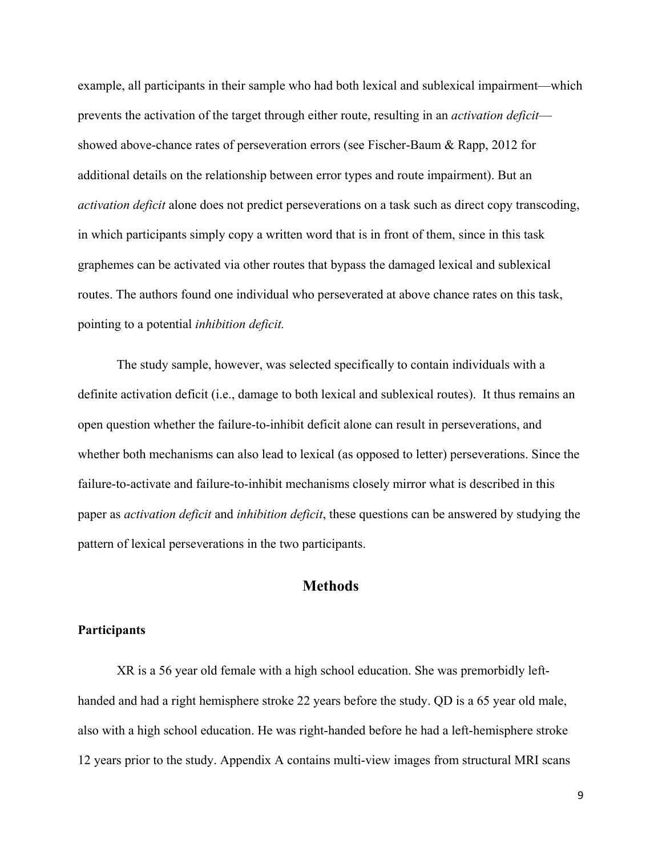example, all participants in their sample who had both lexical and sublexical impairment—which prevents the activation of the target through either route, resulting in an *activation deficit* showed above-chance rates of perseveration errors (see Fischer-Baum & Rapp, 2012 for additional details on the relationship between error types and route impairment). But an *activation deficit* alone does not predict perseverations on a task such as direct copy transcoding, in which participants simply copy a written word that is in front of them, since in this task graphemes can be activated via other routes that bypass the damaged lexical and sublexical routes. The authors found one individual who perseverated at above chance rates on this task, pointing to a potential *inhibition deficit.*

The study sample, however, was selected specifically to contain individuals with a definite activation deficit (i.e., damage to both lexical and sublexical routes). It thus remains an open question whether the failure-to-inhibit deficit alone can result in perseverations, and whether both mechanisms can also lead to lexical (as opposed to letter) perseverations. Since the failure-to-activate and failure-to-inhibit mechanisms closely mirror what is described in this paper as *activation deficit* and *inhibition deficit*, these questions can be answered by studying the pattern of lexical perseverations in the two participants.

### **Methods**

### **Participants**

XR is a 56 year old female with a high school education. She was premorbidly lefthanded and had a right hemisphere stroke 22 years before the study. QD is a 65 year old male, also with a high school education. He was right-handed before he had a left-hemisphere stroke 12 years prior to the study. Appendix A contains multi-view images from structural MRI scans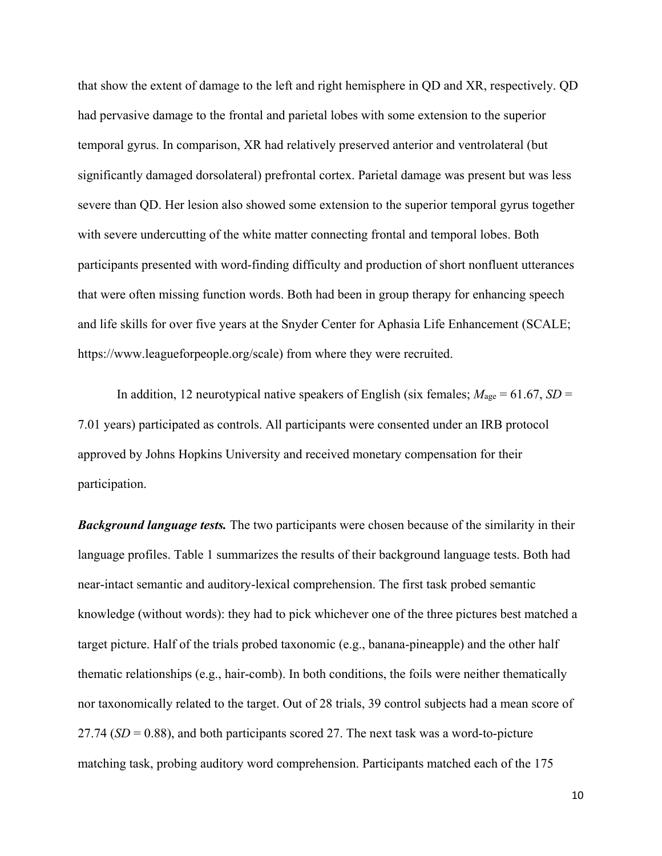that show the extent of damage to the left and right hemisphere in QD and XR, respectively. QD had pervasive damage to the frontal and parietal lobes with some extension to the superior temporal gyrus. In comparison, XR had relatively preserved anterior and ventrolateral (but significantly damaged dorsolateral) prefrontal cortex. Parietal damage was present but was less severe than QD. Her lesion also showed some extension to the superior temporal gyrus together with severe undercutting of the white matter connecting frontal and temporal lobes. Both participants presented with word-finding difficulty and production of short nonfluent utterances that were often missing function words. Both had been in group therapy for enhancing speech and life skills for over five years at the Snyder Center for Aphasia Life Enhancement (SCALE; https://www.leagueforpeople.org/scale) from where they were recruited.

In addition, 12 neurotypical native speakers of English (six females;  $M_{\text{age}} = 61.67$ , *SD* = 7.01 years) participated as controls. All participants were consented under an IRB protocol approved by Johns Hopkins University and received monetary compensation for their participation.

*Background language tests.* The two participants were chosen because of the similarity in their language profiles. Table 1 summarizes the results of their background language tests. Both had near-intact semantic and auditory-lexical comprehension. The first task probed semantic knowledge (without words): they had to pick whichever one of the three pictures best matched a target picture. Half of the trials probed taxonomic (e.g., banana-pineapple) and the other half thematic relationships (e.g., hair-comb). In both conditions, the foils were neither thematically nor taxonomically related to the target. Out of 28 trials, 39 control subjects had a mean score of 27.74 (*SD* = 0.88), and both participants scored 27. The next task was a word-to-picture matching task, probing auditory word comprehension. Participants matched each of the 175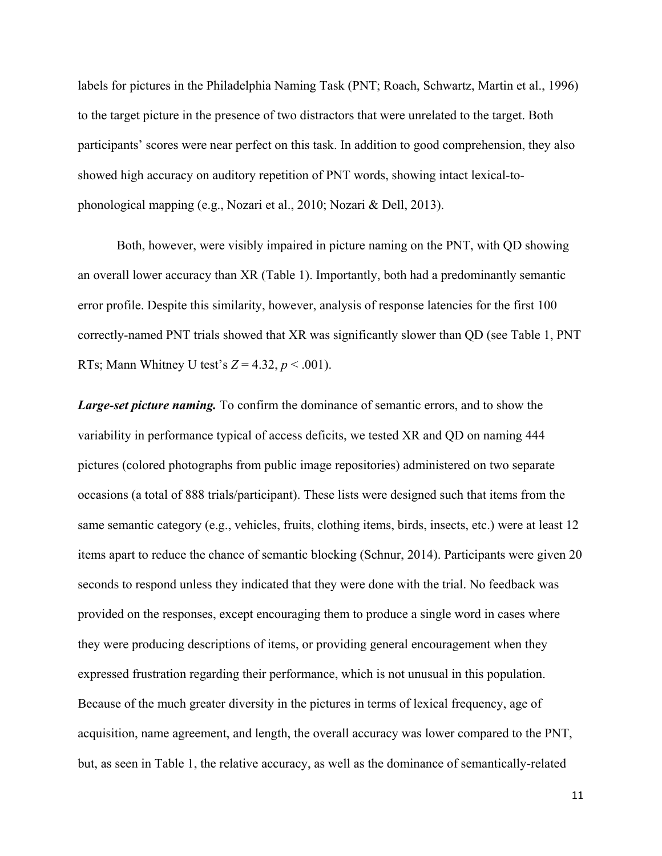labels for pictures in the Philadelphia Naming Task (PNT; Roach, Schwartz, Martin et al., 1996) to the target picture in the presence of two distractors that were unrelated to the target. Both participants' scores were near perfect on this task. In addition to good comprehension, they also showed high accuracy on auditory repetition of PNT words, showing intact lexical-tophonological mapping (e.g., Nozari et al., 2010; Nozari & Dell, 2013).

Both, however, were visibly impaired in picture naming on the PNT, with QD showing an overall lower accuracy than XR (Table 1). Importantly, both had a predominantly semantic error profile. Despite this similarity, however, analysis of response latencies for the first 100 correctly-named PNT trials showed that XR was significantly slower than QD (see Table 1, PNT RTs; Mann Whitney U test's  $Z = 4.32$ ,  $p < .001$ ).

*Large-set picture naming.* To confirm the dominance of semantic errors, and to show the variability in performance typical of access deficits, we tested XR and QD on naming 444 pictures (colored photographs from public image repositories) administered on two separate occasions (a total of 888 trials/participant). These lists were designed such that items from the same semantic category (e.g., vehicles, fruits, clothing items, birds, insects, etc.) were at least 12 items apart to reduce the chance of semantic blocking (Schnur, 2014). Participants were given 20 seconds to respond unless they indicated that they were done with the trial. No feedback was provided on the responses, except encouraging them to produce a single word in cases where they were producing descriptions of items, or providing general encouragement when they expressed frustration regarding their performance, which is not unusual in this population. Because of the much greater diversity in the pictures in terms of lexical frequency, age of acquisition, name agreement, and length, the overall accuracy was lower compared to the PNT, but, as seen in Table 1, the relative accuracy, as well as the dominance of semantically-related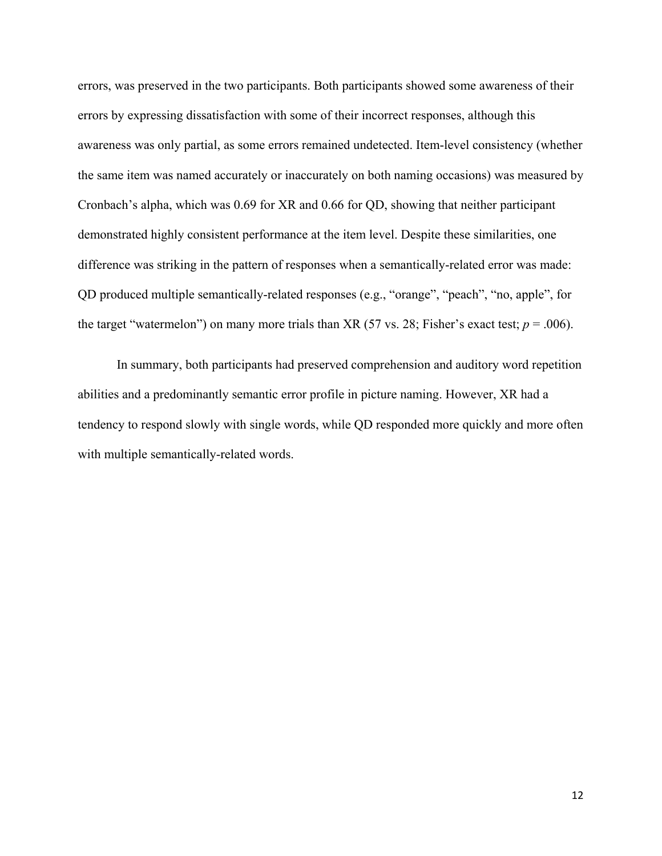errors, was preserved in the two participants. Both participants showed some awareness of their errors by expressing dissatisfaction with some of their incorrect responses, although this awareness was only partial, as some errors remained undetected. Item-level consistency (whether the same item was named accurately or inaccurately on both naming occasions) was measured by Cronbach's alpha, which was 0.69 for XR and 0.66 for QD, showing that neither participant demonstrated highly consistent performance at the item level. Despite these similarities, one difference was striking in the pattern of responses when a semantically-related error was made: QD produced multiple semantically-related responses (e.g., "orange", "peach", "no, apple", for the target "watermelon") on many more trials than XR (57 vs. 28; Fisher's exact test;  $p = .006$ ).

In summary, both participants had preserved comprehension and auditory word repetition abilities and a predominantly semantic error profile in picture naming. However, XR had a tendency to respond slowly with single words, while QD responded more quickly and more often with multiple semantically-related words.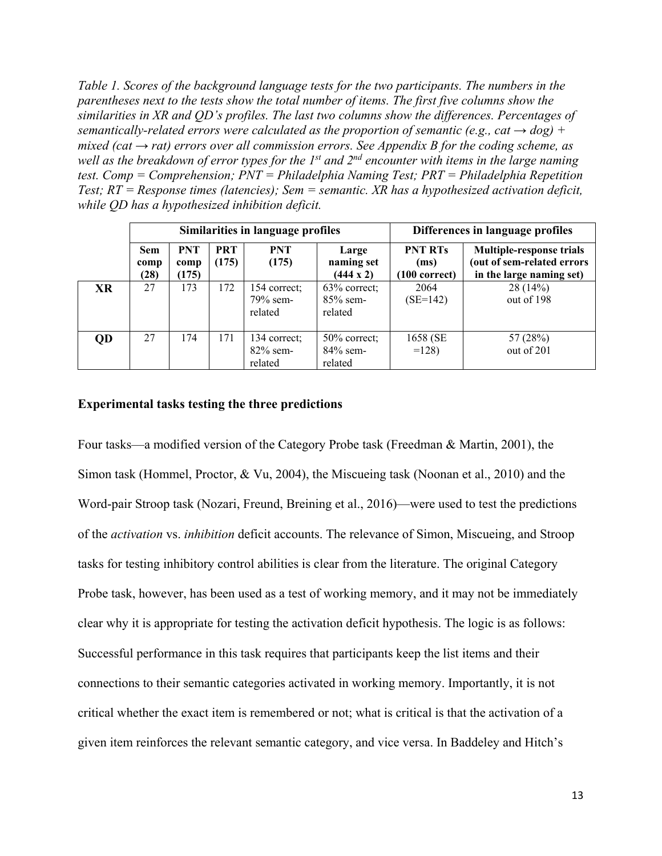*Table 1. Scores of the background language tests for the two participants. The numbers in the parentheses next to the tests show the total number of items. The first five columns show the similarities in XR and QD's profiles. The last two columns show the differences. Percentages of semantically-related errors were calculated as the proportion of semantic (e.g., cat*  $\rightarrow$  *dog)* + *mixed (cat → rat) errors over all commission errors. See Appendix B for the coding scheme, as well as the breakdown of error types for the 1st and 2nd encounter with items in the large naming test. Comp = Comprehension; PNT = Philadelphia Naming Test; PRT = Philadelphia Repetition Test; RT = Response times (latencies); Sem = semantic. XR has a hypothesized activation deficit, while QD has a hypothesized inhibition deficit.*

|    |                            |                             |                     | Similarities in language profiles      | Differences in language profiles          |                                         |                                                                                           |
|----|----------------------------|-----------------------------|---------------------|----------------------------------------|-------------------------------------------|-----------------------------------------|-------------------------------------------------------------------------------------------|
|    | <b>Sem</b><br>comp<br>(28) | <b>PNT</b><br>comp<br>(175) | <b>PRT</b><br>(175) | <b>PNT</b><br>(175)                    | Large<br>naming set<br>$(444 \times 2)$   | <b>PNT RTs</b><br>(ms)<br>(100 correct) | <b>Multiple-response trials</b><br>(out of sem-related errors<br>in the large naming set) |
| XR | 27                         | 173                         | 172                 | 154 correct;<br>$79\%$ sem-<br>related | $63\%$ correct;<br>$85\%$ sem-<br>related | 2064<br>$(SE=142)$                      | 28(14%)<br>out of 198                                                                     |
| QD | 27                         | 174                         | 171                 | 134 correct;<br>$82\%$ sem-<br>related | $50\%$ correct;<br>$84\%$ sem-<br>related | 1658 (SE<br>$=128$                      | 57 (28%)<br>out of 201                                                                    |

#### **Experimental tasks testing the three predictions**

Four tasks—a modified version of the Category Probe task (Freedman & Martin, 2001), the Simon task (Hommel, Proctor, & Vu, 2004), the Miscueing task (Noonan et al., 2010) and the Word-pair Stroop task (Nozari, Freund, Breining et al., 2016)—were used to test the predictions of the *activation* vs. *inhibition* deficit accounts. The relevance of Simon, Miscueing, and Stroop tasks for testing inhibitory control abilities is clear from the literature. The original Category Probe task, however, has been used as a test of working memory, and it may not be immediately clear why it is appropriate for testing the activation deficit hypothesis. The logic is as follows: Successful performance in this task requires that participants keep the list items and their connections to their semantic categories activated in working memory. Importantly, it is not critical whether the exact item is remembered or not; what is critical is that the activation of a given item reinforces the relevant semantic category, and vice versa. In Baddeley and Hitch's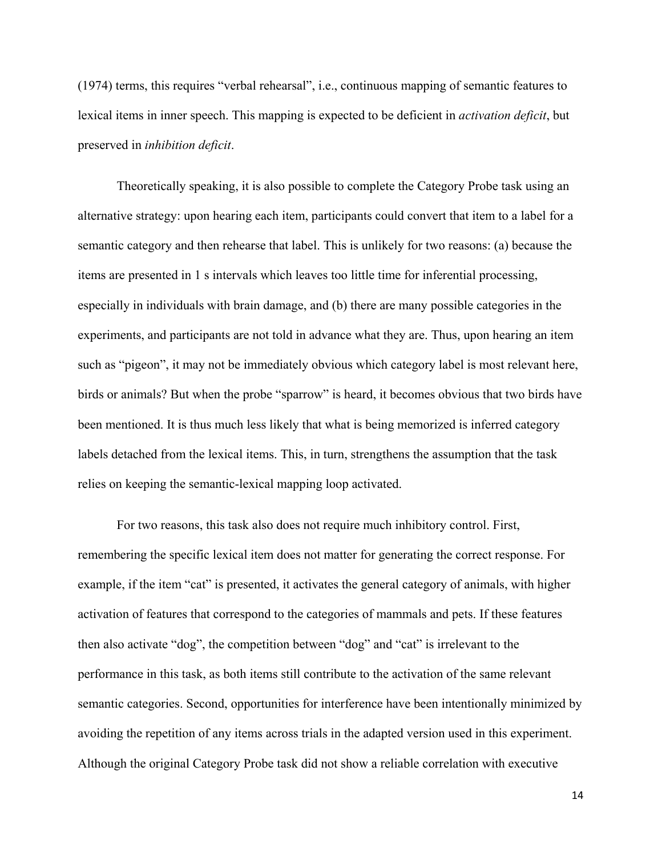(1974) terms, this requires "verbal rehearsal", i.e., continuous mapping of semantic features to lexical items in inner speech. This mapping is expected to be deficient in *activation deficit*, but preserved in *inhibition deficit*.

Theoretically speaking, it is also possible to complete the Category Probe task using an alternative strategy: upon hearing each item, participants could convert that item to a label for a semantic category and then rehearse that label. This is unlikely for two reasons: (a) because the items are presented in 1 s intervals which leaves too little time for inferential processing, especially in individuals with brain damage, and (b) there are many possible categories in the experiments, and participants are not told in advance what they are. Thus, upon hearing an item such as "pigeon", it may not be immediately obvious which category label is most relevant here, birds or animals? But when the probe "sparrow" is heard, it becomes obvious that two birds have been mentioned. It is thus much less likely that what is being memorized is inferred category labels detached from the lexical items. This, in turn, strengthens the assumption that the task relies on keeping the semantic-lexical mapping loop activated.

For two reasons, this task also does not require much inhibitory control. First, remembering the specific lexical item does not matter for generating the correct response. For example, if the item "cat" is presented, it activates the general category of animals, with higher activation of features that correspond to the categories of mammals and pets. If these features then also activate "dog", the competition between "dog" and "cat" is irrelevant to the performance in this task, as both items still contribute to the activation of the same relevant semantic categories. Second, opportunities for interference have been intentionally minimized by avoiding the repetition of any items across trials in the adapted version used in this experiment. Although the original Category Probe task did not show a reliable correlation with executive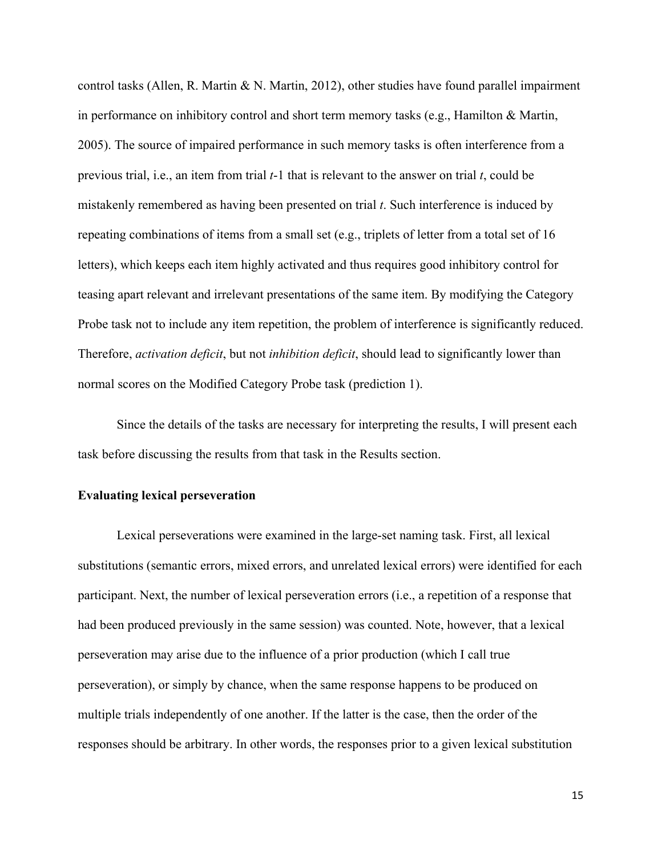control tasks (Allen, R. Martin & N. Martin, 2012), other studies have found parallel impairment in performance on inhibitory control and short term memory tasks (e.g., Hamilton & Martin, 2005). The source of impaired performance in such memory tasks is often interference from a previous trial, i.e., an item from trial *t*-1 that is relevant to the answer on trial *t*, could be mistakenly remembered as having been presented on trial *t*. Such interference is induced by repeating combinations of items from a small set (e.g., triplets of letter from a total set of 16 letters), which keeps each item highly activated and thus requires good inhibitory control for teasing apart relevant and irrelevant presentations of the same item. By modifying the Category Probe task not to include any item repetition, the problem of interference is significantly reduced. Therefore, *activation deficit*, but not *inhibition deficit*, should lead to significantly lower than normal scores on the Modified Category Probe task (prediction 1).

Since the details of the tasks are necessary for interpreting the results, I will present each task before discussing the results from that task in the Results section.

### **Evaluating lexical perseveration**

Lexical perseverations were examined in the large-set naming task. First, all lexical substitutions (semantic errors, mixed errors, and unrelated lexical errors) were identified for each participant. Next, the number of lexical perseveration errors (i.e., a repetition of a response that had been produced previously in the same session) was counted. Note, however, that a lexical perseveration may arise due to the influence of a prior production (which I call true perseveration), or simply by chance, when the same response happens to be produced on multiple trials independently of one another. If the latter is the case, then the order of the responses should be arbitrary. In other words, the responses prior to a given lexical substitution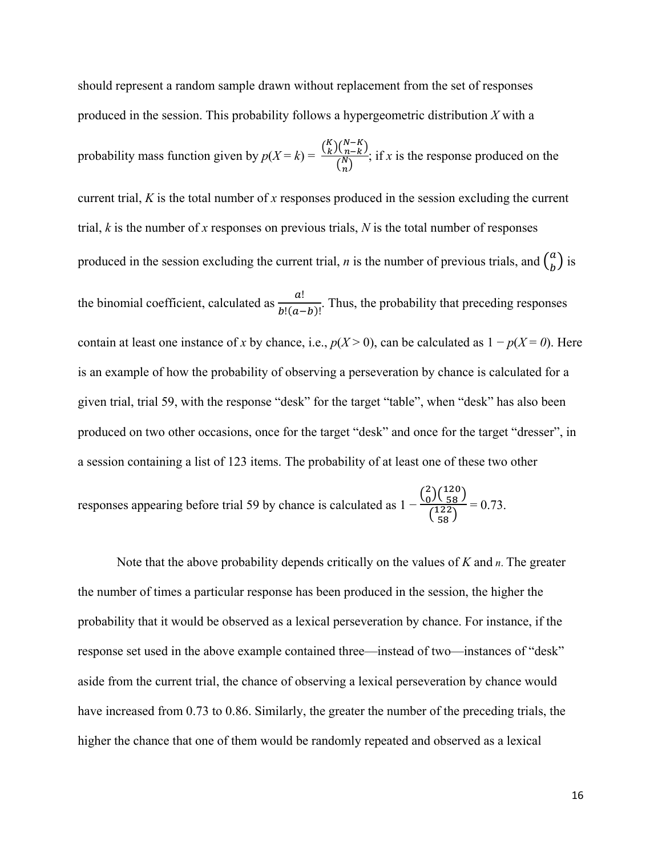should represent a random sample drawn without replacement from the set of responses produced in the session. This probability follows a hypergeometric distribution *X* with a

probability mass function given by 
$$
p(X = k) = \frac{\binom{K}{k}\binom{N-K}{n-k}}{\binom{N}{N}}
$$
; if *x* is the response produced on the current trial, *K* is the total number of *x* responses produced in the session excluding the current trial, *k* is the number of *x* responses on previous trials, *N* is the total number of responses produced in the session excluding the current trial, *n* is the number of previous trials, and  $\binom{a}{b}$  is the binomial coefficient, calculated as  $\frac{a!}{b!(a-b)!}$ . Thus, the probability that preceding responses contain at least one instance of *x* by chance, i.e.,  $p(X > 0)$ , can be calculated as  $1 - p(X = 0)$ . Here is an example of how the probability of observing a preservation by chance is calculated for a given trial, trial 59, with the response "desk" for the target "table", when "desk" has also been produced on two other occasions, once for the target "desk" and once for the target "dresser", in a session containing a list of 123 items. The probability of at least one of these two other

responents appearing before trial 59 by chance is calculated as 
$$
1 - \frac{\binom{2}{0}\binom{120}{58}}{\binom{122}{58}} = 0.73
$$
.

Note that the above probability depends critically on the values of *K* and *n*. The greater the number of times a particular response has been produced in the session, the higher the probability that it would be observed as a lexical perseveration by chance. For instance, if the response set used in the above example contained three—instead of two—instances of "desk" aside from the current trial, the chance of observing a lexical perseveration by chance would have increased from 0.73 to 0.86. Similarly, the greater the number of the preceding trials, the higher the chance that one of them would be randomly repeated and observed as a lexical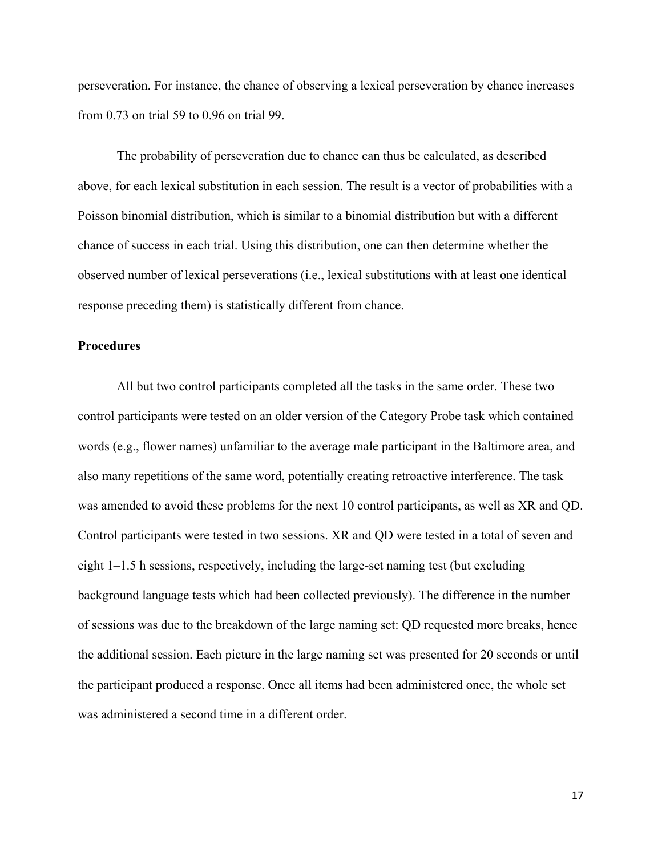perseveration. For instance, the chance of observing a lexical perseveration by chance increases from 0.73 on trial 59 to 0.96 on trial 99.

The probability of perseveration due to chance can thus be calculated, as described above, for each lexical substitution in each session. The result is a vector of probabilities with a Poisson binomial distribution, which is similar to a binomial distribution but with a different chance of success in each trial. Using this distribution, one can then determine whether the observed number of lexical perseverations (i.e., lexical substitutions with at least one identical response preceding them) is statistically different from chance.

### **Procedures**

All but two control participants completed all the tasks in the same order. These two control participants were tested on an older version of the Category Probe task which contained words (e.g., flower names) unfamiliar to the average male participant in the Baltimore area, and also many repetitions of the same word, potentially creating retroactive interference. The task was amended to avoid these problems for the next 10 control participants, as well as XR and QD. Control participants were tested in two sessions. XR and QD were tested in a total of seven and eight 1–1.5 h sessions, respectively, including the large-set naming test (but excluding background language tests which had been collected previously). The difference in the number of sessions was due to the breakdown of the large naming set: QD requested more breaks, hence the additional session. Each picture in the large naming set was presented for 20 seconds or until the participant produced a response. Once all items had been administered once, the whole set was administered a second time in a different order.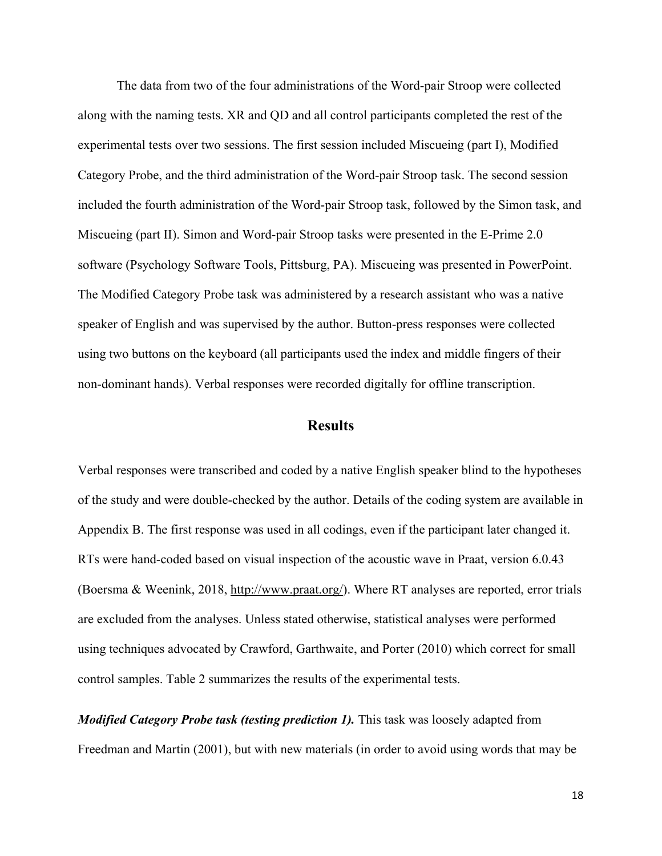The data from two of the four administrations of the Word-pair Stroop were collected along with the naming tests. XR and QD and all control participants completed the rest of the experimental tests over two sessions. The first session included Miscueing (part I), Modified Category Probe, and the third administration of the Word-pair Stroop task. The second session included the fourth administration of the Word-pair Stroop task, followed by the Simon task, and Miscueing (part II). Simon and Word-pair Stroop tasks were presented in the E-Prime 2.0 software (Psychology Software Tools, Pittsburg, PA). Miscueing was presented in PowerPoint. The Modified Category Probe task was administered by a research assistant who was a native speaker of English and was supervised by the author. Button-press responses were collected using two buttons on the keyboard (all participants used the index and middle fingers of their non-dominant hands). Verbal responses were recorded digitally for offline transcription.

#### **Results**

Verbal responses were transcribed and coded by a native English speaker blind to the hypotheses of the study and were double-checked by the author. Details of the coding system are available in Appendix B. The first response was used in all codings, even if the participant later changed it. RTs were hand-coded based on visual inspection of the acoustic wave in Praat, version 6.0.43 (Boersma & Weenink, 2018, [http://www.praat.org/\)](http://www.praat.org/). Where RT analyses are reported, error trials are excluded from the analyses. Unless stated otherwise, statistical analyses were performed using techniques advocated by Crawford, Garthwaite, and Porter (2010) which correct for small control samples. Table 2 summarizes the results of the experimental tests.

*Modified Category Probe task (testing prediction 1).* This task was loosely adapted from Freedman and Martin (2001), but with new materials (in order to avoid using words that may be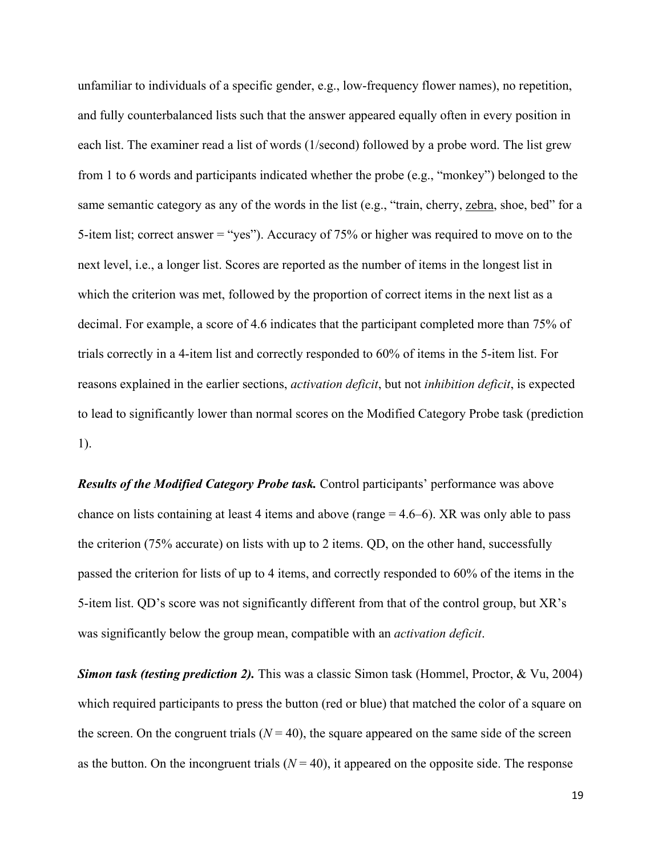unfamiliar to individuals of a specific gender, e.g., low-frequency flower names), no repetition, and fully counterbalanced lists such that the answer appeared equally often in every position in each list. The examiner read a list of words (1/second) followed by a probe word. The list grew from 1 to 6 words and participants indicated whether the probe (e.g., "monkey") belonged to the same semantic category as any of the words in the list (e.g., "train, cherry, zebra, shoe, bed" for a 5-item list; correct answer = "yes"). Accuracy of 75% or higher was required to move on to the next level, i.e., a longer list. Scores are reported as the number of items in the longest list in which the criterion was met, followed by the proportion of correct items in the next list as a decimal. For example, a score of 4.6 indicates that the participant completed more than 75% of trials correctly in a 4-item list and correctly responded to 60% of items in the 5-item list. For reasons explained in the earlier sections, *activation deficit*, but not *inhibition deficit*, is expected to lead to significantly lower than normal scores on the Modified Category Probe task (prediction 1).

*Results of the Modified Category Probe task.* Control participants' performance was above chance on lists containing at least 4 items and above (range  $= 4.6{\text -}6$ ). XR was only able to pass the criterion (75% accurate) on lists with up to 2 items. QD, on the other hand, successfully passed the criterion for lists of up to 4 items, and correctly responded to 60% of the items in the 5-item list. QD's score was not significantly different from that of the control group, but XR's was significantly below the group mean, compatible with an *activation deficit*.

*Simon task (testing prediction 2).* This was a classic Simon task (Hommel, Proctor, & Vu, 2004) which required participants to press the button (red or blue) that matched the color of a square on the screen. On the congruent trials  $(N = 40)$ , the square appeared on the same side of the screen as the button. On the incongruent trials  $(N = 40)$ , it appeared on the opposite side. The response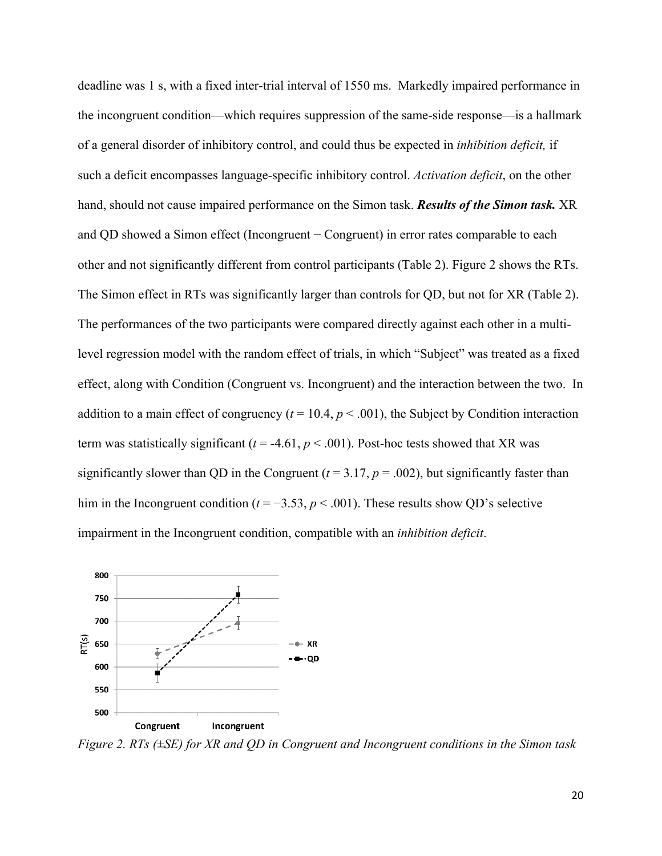deadline was 1 s, with a fixed inter-trial interval of 1550 ms. Markedly impaired performance in the incongruent condition—which requires suppression of the same-side response—is a hallmark of a general disorder of inhibitory control, and could thus be expected in *inhibition deficit,* if such a deficit encompasses language-specific inhibitory control. *Activation deficit*, on the other hand, should not cause impaired performance on the Simon task. *Results of the Simon task.* XR and QD showed a Simon effect (Incongruent − Congruent) in error rates comparable to each other and not significantly different from control participants (Table 2). Figure 2 shows the RTs. The Simon effect in RTs was significantly larger than controls for QD, but not for XR (Table 2). The performances of the two participants were compared directly against each other in a multilevel regression model with the random effect of trials, in which "Subject" was treated as a fixed effect, along with Condition (Congruent vs. Incongruent) and the interaction between the two. In addition to a main effect of congruency  $(t = 10.4, p < .001)$ , the Subject by Condition interaction term was statistically significant ( $t = -4.61$ ,  $p < .001$ ). Post-hoc tests showed that XR was significantly slower than QD in the Congruent  $(t = 3.17, p = .002)$ , but significantly faster than him in the Incongruent condition ( $t = -3.53$ ,  $p < .001$ ). These results show QD's selective impairment in the Incongruent condition, compatible with an *inhibition deficit*.



*Figure 2. RTs (±SE) for XR and QD in Congruent and Incongruent conditions in the Simon task*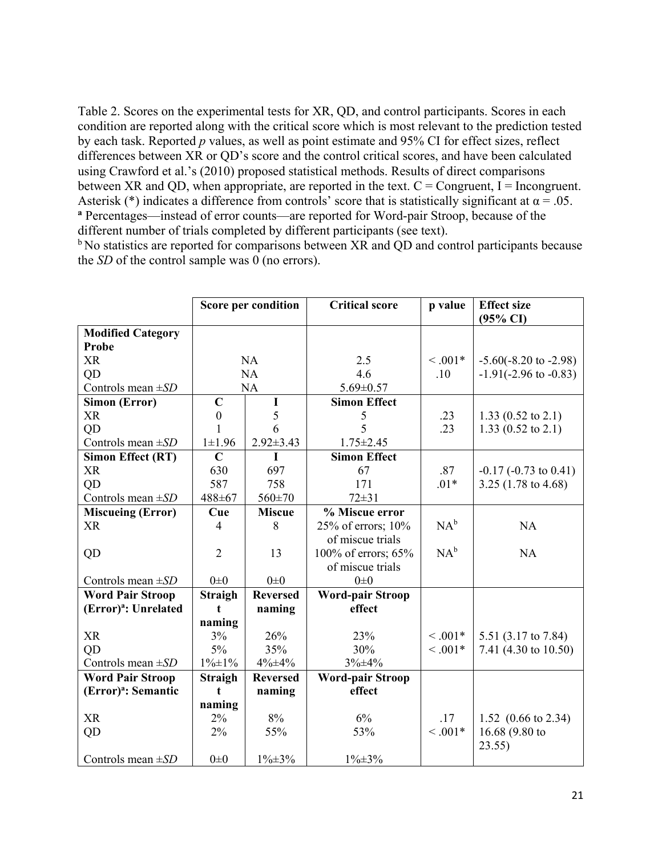Table 2. Scores on the experimental tests for XR, QD, and control participants. Scores in each condition are reported along with the critical score which is most relevant to the prediction tested by each task. Reported *p* values, as well as point estimate and 95% CI for effect sizes, reflect differences between XR or QD's score and the control critical scores, and have been calculated using Crawford et al.'s (2010) proposed statistical methods. Results of direct comparisons between XR and QD, when appropriate, are reported in the text.  $C =$  Congruent, I = Incongruent. Asterisk (\*) indicates a difference from controls' score that is statistically significant at  $\alpha = .05$ . **<sup>a</sup>** Percentages—instead of error counts—are reported for Word-pair Stroop, because of the different number of trials completed by different participants (see text).

 $<sup>b</sup>$  No statistics are reported for comparisons between XR and QD and control participants because</sup> the *SD* of the control sample was 0 (no errors).

|                                  | Score per condition |                 | <b>Critical score</b>   | p value  | <b>Effect size</b><br>$(95\% \text{ CI})$ |
|----------------------------------|---------------------|-----------------|-------------------------|----------|-------------------------------------------|
| <b>Modified Category</b>         |                     |                 |                         |          |                                           |
| Probe                            |                     |                 |                         |          |                                           |
| <b>XR</b>                        | <b>NA</b>           |                 | 2.5                     | $0.001*$ | $-5.60(-8.20 \text{ to } -2.98)$          |
| QD                               | NA                  |                 | 4.6                     | .10      | $-1.91(-2.96 \text{ to } -0.83)$          |
| Controls mean $\pm SD$           |                     | <b>NA</b>       | $5.69 \pm 0.57$         |          |                                           |
| Simon (Error)                    | $\mathbf C$         | $\mathbf I$     | <b>Simon Effect</b>     |          |                                           |
| <b>XR</b>                        | $\boldsymbol{0}$    | 5               | 5                       | .23      | 1.33 $(0.52 \text{ to } 2.1)$             |
| QD                               | 1                   | 6               | 5                       | .23      | 1.33 $(0.52 \text{ to } 2.1)$             |
| Controls mean ±SD                | $1 \pm 1.96$        | $2.92 \pm 3.43$ | $1.75 \pm 2.45$         |          |                                           |
| <b>Simon Effect (RT)</b>         | $\mathbf C$         | $\mathbf I$     | <b>Simon Effect</b>     |          |                                           |
| <b>XR</b>                        | 630                 | 697             | 67                      | .87      | $-0.17$ ( $-0.73$ to $0.41$ )             |
| QD                               | 587                 | 758             | 171                     | $.01*$   | 3.25 $(1.78 \text{ to } 4.68)$            |
| Controls mean $\pm SD$           | 488±67              | 560±70          | $72 + 31$               |          |                                           |
| <b>Miscueing (Error)</b>         | Cue                 | <b>Miscue</b>   | % Miscue error          |          |                                           |
| <b>XR</b>                        | $\overline{4}$      | 8               | 25% of errors; 10%      | $NA^b$   | <b>NA</b>                                 |
|                                  |                     |                 | of miscue trials        |          |                                           |
| QD                               | $\overline{2}$      | 13              | 100% of errors; $65%$   | $NA^b$   | <b>NA</b>                                 |
|                                  |                     |                 | of miscue trials        |          |                                           |
| Controls mean $\pm SD$           | $0\pm 0$            | $0\pm 0$        | $0\pm 0$                |          |                                           |
| <b>Word Pair Stroop</b>          | <b>Straigh</b>      | <b>Reversed</b> | <b>Word-pair Stroop</b> |          |                                           |
| (Error) <sup>a</sup> : Unrelated | $\mathbf t$         | naming          | effect                  |          |                                           |
|                                  | naming              |                 |                         |          |                                           |
| <b>XR</b>                        | 3%                  | 26%             | 23%                     | $0.001*$ | 5.51 (3.17 to 7.84)                       |
| <b>QD</b>                        | 5%                  | 35%             | 30%                     | $0.001*$ | 7.41 (4.30 to 10.50)                      |
| Controls mean $\pm SD$           | $1\% \pm 1\%$       | 4%±4%           | $3\% \pm 4\%$           |          |                                           |
| <b>Word Pair Stroop</b>          | <b>Straigh</b>      | <b>Reversed</b> | <b>Word-pair Stroop</b> |          |                                           |
| (Error) <sup>a</sup> : Semantic  | $\mathbf{f}$        | naming          | effect                  |          |                                           |
|                                  | naming              |                 |                         |          |                                           |
| <b>XR</b>                        | 2%                  | 8%              | 6%                      | .17      | 1.52 $(0.66 \text{ to } 2.34)$            |
| QD                               | 2%                  | 55%             | 53%                     | $0.001*$ | 16.68 (9.80 to                            |
|                                  |                     |                 |                         |          | 23.55)                                    |
| Controls mean $\pm SD$           | $0\pm 0$            | $1\% \pm 3\%$   | $1\% \pm 3\%$           |          |                                           |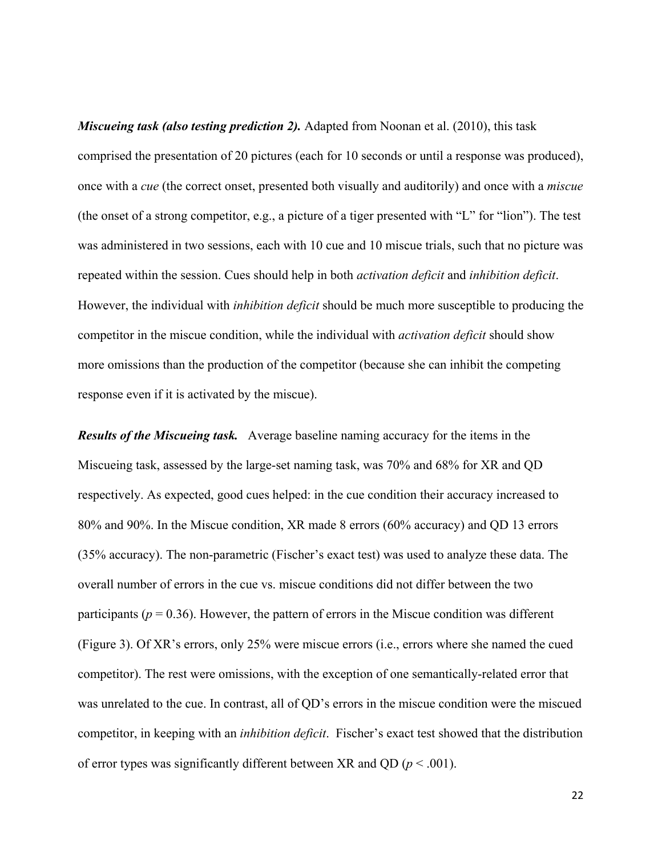*Miscueing task (also testing prediction 2).* Adapted from Noonan et al. (2010), this task comprised the presentation of 20 pictures (each for 10 seconds or until a response was produced), once with a *cue* (the correct onset, presented both visually and auditorily) and once with a *miscue* (the onset of a strong competitor, e.g., a picture of a tiger presented with "L" for "lion"). The test was administered in two sessions, each with 10 cue and 10 miscue trials, such that no picture was repeated within the session. Cues should help in both *activation deficit* and *inhibition deficit*. However, the individual with *inhibition deficit* should be much more susceptible to producing the competitor in the miscue condition, while the individual with *activation deficit* should show more omissions than the production of the competitor (because she can inhibit the competing response even if it is activated by the miscue).

*Results of the Miscueing task.* Average baseline naming accuracy for the items in the Miscueing task, assessed by the large-set naming task, was 70% and 68% for XR and QD respectively. As expected, good cues helped: in the cue condition their accuracy increased to 80% and 90%. In the Miscue condition, XR made 8 errors (60% accuracy) and QD 13 errors (35% accuracy). The non-parametric (Fischer's exact test) was used to analyze these data. The overall number of errors in the cue vs. miscue conditions did not differ between the two participants ( $p = 0.36$ ). However, the pattern of errors in the Miscue condition was different (Figure 3). Of XR's errors, only 25% were miscue errors (i.e., errors where she named the cued competitor). The rest were omissions, with the exception of one semantically-related error that was unrelated to the cue. In contrast, all of QD's errors in the miscue condition were the miscued competitor, in keeping with an *inhibition deficit*. Fischer's exact test showed that the distribution of error types was significantly different between XR and QD ( $p < .001$ ).

22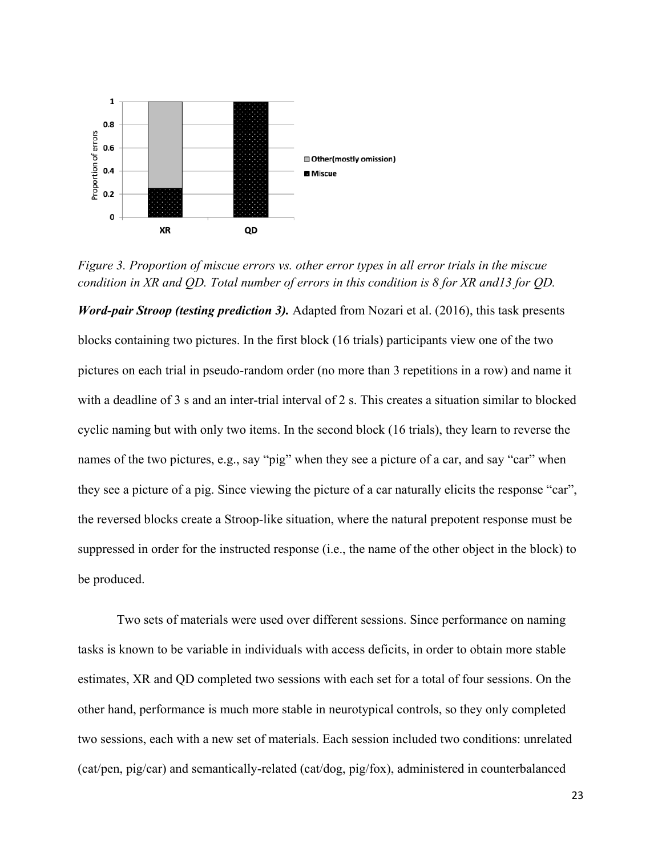

*Figure 3. Proportion of miscue errors vs. other error types in all error trials in the miscue condition in XR and QD. Total number of errors in this condition is 8 for XR and13 for QD.* 

*Word-pair Stroop (testing prediction 3).* Adapted from Nozari et al. (2016), this task presents blocks containing two pictures. In the first block (16 trials) participants view one of the two pictures on each trial in pseudo-random order (no more than 3 repetitions in a row) and name it with a deadline of 3 s and an inter-trial interval of 2 s. This creates a situation similar to blocked cyclic naming but with only two items. In the second block (16 trials), they learn to reverse the names of the two pictures, e.g., say "pig" when they see a picture of a car, and say "car" when they see a picture of a pig. Since viewing the picture of a car naturally elicits the response "car", the reversed blocks create a Stroop-like situation, where the natural prepotent response must be suppressed in order for the instructed response (i.e., the name of the other object in the block) to be produced.

Two sets of materials were used over different sessions. Since performance on naming tasks is known to be variable in individuals with access deficits, in order to obtain more stable estimates, XR and QD completed two sessions with each set for a total of four sessions. On the other hand, performance is much more stable in neurotypical controls, so they only completed two sessions, each with a new set of materials. Each session included two conditions: unrelated (cat/pen, pig/car) and semantically-related (cat/dog, pig/fox), administered in counterbalanced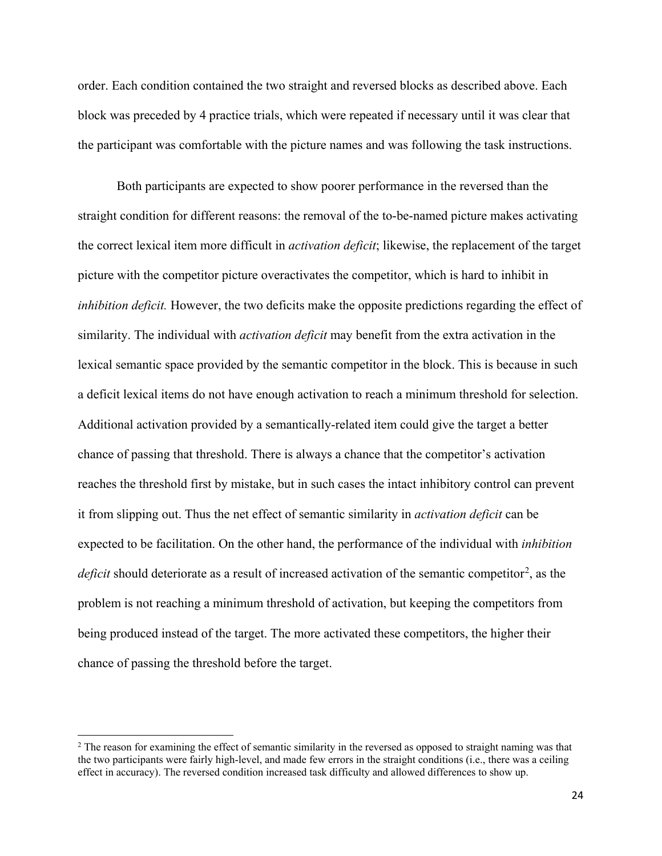order. Each condition contained the two straight and reversed blocks as described above. Each block was preceded by 4 practice trials, which were repeated if necessary until it was clear that the participant was comfortable with the picture names and was following the task instructions.

Both participants are expected to show poorer performance in the reversed than the straight condition for different reasons: the removal of the to-be-named picture makes activating the correct lexical item more difficult in *activation deficit*; likewise, the replacement of the target picture with the competitor picture overactivates the competitor, which is hard to inhibit in *inhibition deficit.* However, the two deficits make the opposite predictions regarding the effect of similarity. The individual with *activation deficit* may benefit from the extra activation in the lexical semantic space provided by the semantic competitor in the block. This is because in such a deficit lexical items do not have enough activation to reach a minimum threshold for selection. Additional activation provided by a semantically-related item could give the target a better chance of passing that threshold. There is always a chance that the competitor's activation reaches the threshold first by mistake, but in such cases the intact inhibitory control can prevent it from slipping out. Thus the net effect of semantic similarity in *activation deficit* can be expected to be facilitation. On the other hand, the performance of the individual with *inhibition*  deficit should deteriorate as a result of increased activation of the semantic competitor<sup>[2](#page-23-0)</sup>, as the problem is not reaching a minimum threshold of activation, but keeping the competitors from being produced instead of the target. The more activated these competitors, the higher their chance of passing the threshold before the target.

 $\overline{a}$ 

<span id="page-23-0"></span> $2$  The reason for examining the effect of semantic similarity in the reversed as opposed to straight naming was that the two participants were fairly high-level, and made few errors in the straight conditions (i.e., there was a ceiling effect in accuracy). The reversed condition increased task difficulty and allowed differences to show up.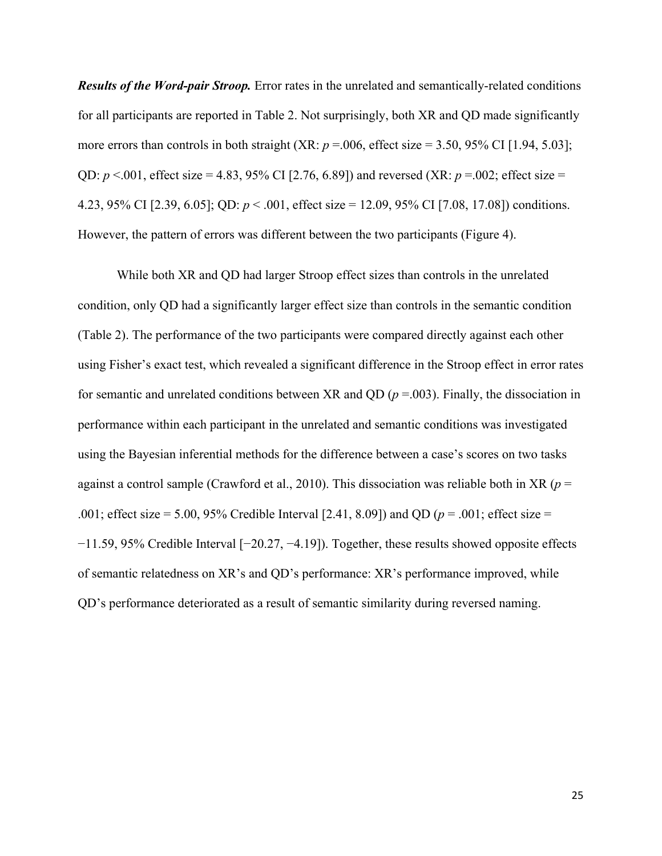*Results of the Word-pair Stroop.* Error rates in the unrelated and semantically-related conditions for all participants are reported in Table 2. Not surprisingly, both XR and QD made significantly more errors than controls in both straight (XR:  $p = .006$ , effect size = 3.50, 95% CI [1.94, 5.03]; QD: *p* <.001, effect size = 4.83, 95% CI [2.76, 6.89]) and reversed (XR: *p* =.002; effect size = 4.23, 95% CI [2.39, 6.05]; QD: *p* < .001, effect size = 12.09, 95% CI [7.08, 17.08]) conditions. However, the pattern of errors was different between the two participants (Figure 4).

While both XR and QD had larger Stroop effect sizes than controls in the unrelated condition, only QD had a significantly larger effect size than controls in the semantic condition (Table 2). The performance of the two participants were compared directly against each other using Fisher's exact test, which revealed a significant difference in the Stroop effect in error rates for semantic and unrelated conditions between XR and QD ( $p = .003$ ). Finally, the dissociation in performance within each participant in the unrelated and semantic conditions was investigated using the Bayesian inferential methods for the difference between a case's scores on two tasks against a control sample (Crawford et al., 2010). This dissociation was reliable both in XR (*p* = .001; effect size = 5.00, 95% Credible Interval [2.41, 8.09]) and QD (*p* = .001; effect size = −11.59, 95% Credible Interval [−20.27, −4.19]). Together, these results showed opposite effects of semantic relatedness on XR's and QD's performance: XR's performance improved, while QD's performance deteriorated as a result of semantic similarity during reversed naming.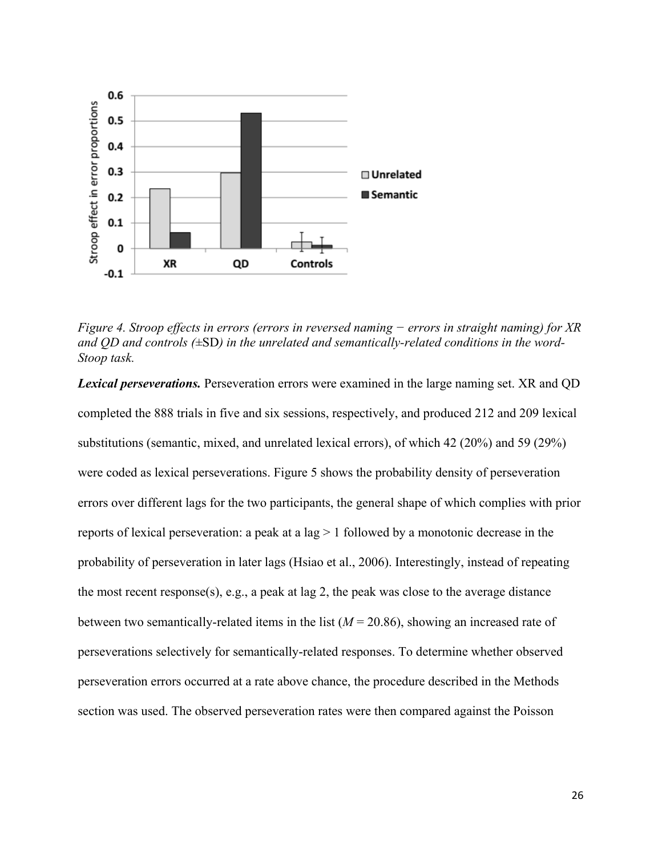

*Figure 4. Stroop effects in errors (errors in reversed naming − errors in straight naming) for XR and QD and controls (±*SD*) in the unrelated and semantically-related conditions in the word-Stoop task.*

*Lexical perseverations.* Perseveration errors were examined in the large naming set. XR and QD completed the 888 trials in five and six sessions, respectively, and produced 212 and 209 lexical substitutions (semantic, mixed, and unrelated lexical errors), of which 42 (20%) and 59 (29%) were coded as lexical perseverations. Figure 5 shows the probability density of perseveration errors over different lags for the two participants, the general shape of which complies with prior reports of lexical perseveration: a peak at a  $lag > 1$  followed by a monotonic decrease in the probability of perseveration in later lags (Hsiao et al., 2006). Interestingly, instead of repeating the most recent response(s), e.g., a peak at lag 2, the peak was close to the average distance between two semantically-related items in the list (*M* = 20.86), showing an increased rate of perseverations selectively for semantically-related responses. To determine whether observed perseveration errors occurred at a rate above chance, the procedure described in the Methods section was used. The observed perseveration rates were then compared against the Poisson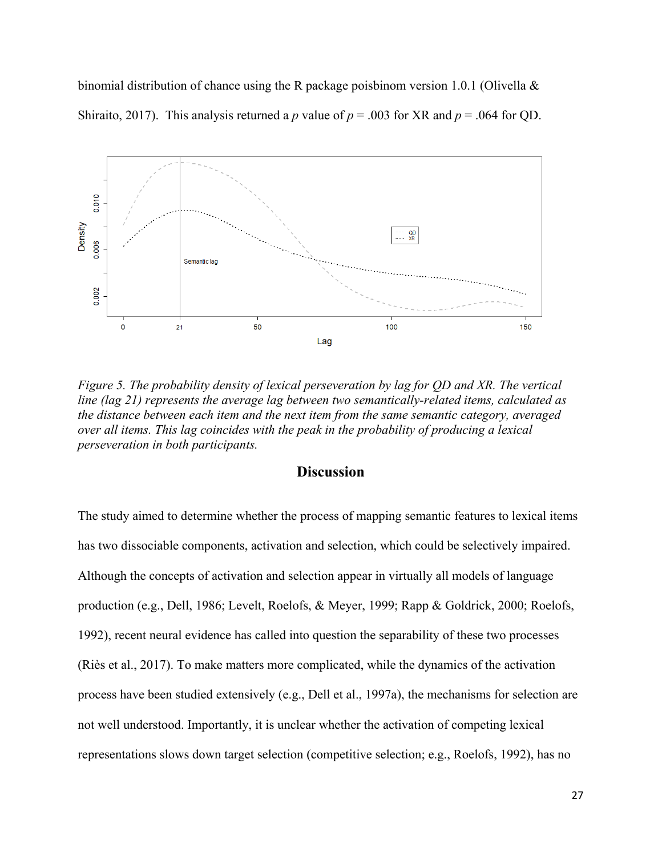binomial distribution of chance using the R package poisbinom version 1.0.1 (Olivella & Shiraito, 2017). This analysis returned a *p* value of  $p = .003$  for XR and  $p = .064$  for QD.



*Figure 5. The probability density of lexical perseveration by lag for QD and XR. The vertical line (lag 21) represents the average lag between two semantically-related items, calculated as the distance between each item and the next item from the same semantic category, averaged over all items. This lag coincides with the peak in the probability of producing a lexical perseveration in both participants.* 

### **Discussion**

The study aimed to determine whether the process of mapping semantic features to lexical items has two dissociable components, activation and selection, which could be selectively impaired. Although the concepts of activation and selection appear in virtually all models of language production (e.g., Dell, 1986; Levelt, Roelofs, & Meyer, 1999; Rapp & Goldrick, 2000; Roelofs, 1992), recent neural evidence has called into question the separability of these two processes (Riès et al., 2017). To make matters more complicated, while the dynamics of the activation process have been studied extensively (e.g., Dell et al., 1997a), the mechanisms for selection are not well understood. Importantly, it is unclear whether the activation of competing lexical representations slows down target selection (competitive selection; e.g., Roelofs, 1992), has no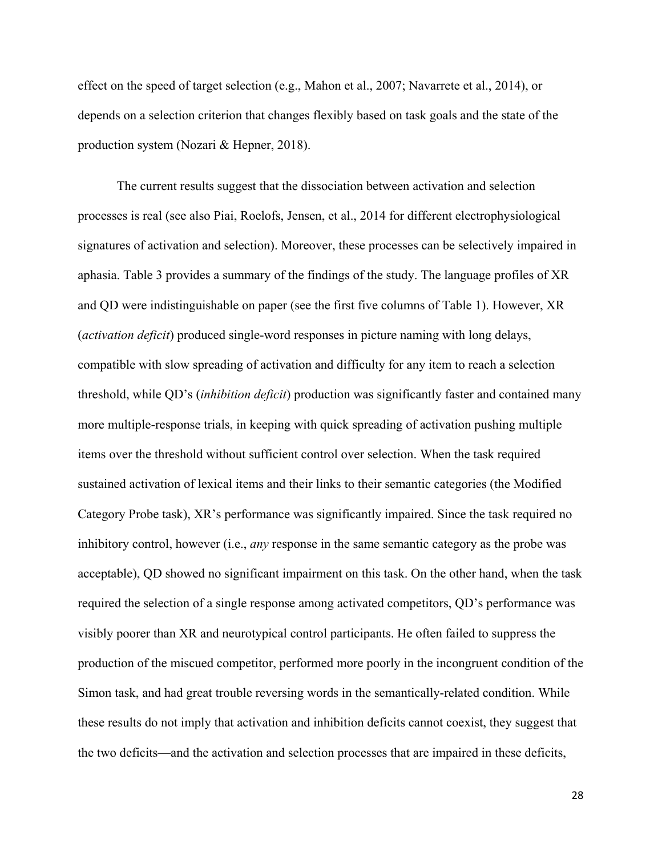effect on the speed of target selection (e.g., Mahon et al., 2007; Navarrete et al., 2014), or depends on a selection criterion that changes flexibly based on task goals and the state of the production system (Nozari & Hepner, 2018).

The current results suggest that the dissociation between activation and selection processes is real (see also Piai, Roelofs, Jensen, et al., 2014 for different electrophysiological signatures of activation and selection). Moreover, these processes can be selectively impaired in aphasia. Table 3 provides a summary of the findings of the study. The language profiles of XR and QD were indistinguishable on paper (see the first five columns of Table 1). However, XR (*activation deficit*) produced single-word responses in picture naming with long delays, compatible with slow spreading of activation and difficulty for any item to reach a selection threshold, while QD's (*inhibition deficit*) production was significantly faster and contained many more multiple-response trials, in keeping with quick spreading of activation pushing multiple items over the threshold without sufficient control over selection. When the task required sustained activation of lexical items and their links to their semantic categories (the Modified Category Probe task), XR's performance was significantly impaired. Since the task required no inhibitory control, however (i.e., *any* response in the same semantic category as the probe was acceptable), QD showed no significant impairment on this task. On the other hand, when the task required the selection of a single response among activated competitors, QD's performance was visibly poorer than XR and neurotypical control participants. He often failed to suppress the production of the miscued competitor, performed more poorly in the incongruent condition of the Simon task, and had great trouble reversing words in the semantically-related condition. While these results do not imply that activation and inhibition deficits cannot coexist, they suggest that the two deficits—and the activation and selection processes that are impaired in these deficits,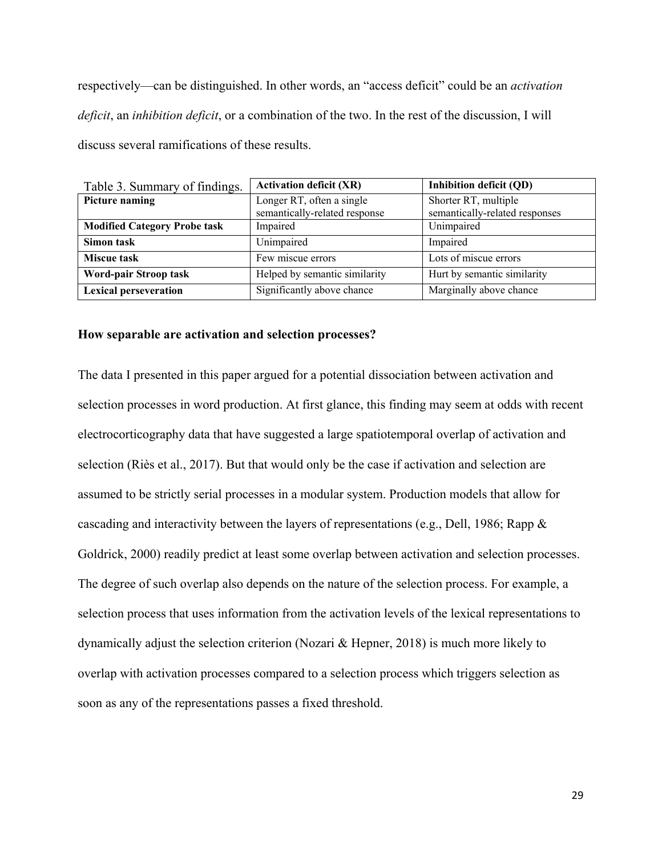respectively—can be distinguished. In other words, an "access deficit" could be an *activation deficit*, an *inhibition deficit*, or a combination of the two. In the rest of the discussion, I will discuss several ramifications of these results.

| Table 3. Summary of findings.       | <b>Activation deficit (XR)</b>                             | Inhibition deficit (QD)                                |  |  |
|-------------------------------------|------------------------------------------------------------|--------------------------------------------------------|--|--|
| Picture naming                      | Longer RT, often a single<br>semantically-related response | Shorter RT, multiple<br>semantically-related responses |  |  |
| <b>Modified Category Probe task</b> | Impaired                                                   | Unimpaired                                             |  |  |
| Simon task                          | Unimpaired                                                 | Impaired                                               |  |  |
| <b>Miscue task</b>                  | Few miscue errors                                          | Lots of miscue errors                                  |  |  |
| Word-pair Stroop task               | Helped by semantic similarity                              | Hurt by semantic similarity                            |  |  |
| <b>Lexical perseveration</b>        | Significantly above chance                                 | Marginally above chance                                |  |  |

#### **How separable are activation and selection processes?**

The data I presented in this paper argued for a potential dissociation between activation and selection processes in word production. At first glance, this finding may seem at odds with recent electrocorticography data that have suggested a large spatiotemporal overlap of activation and selection (Riès et al., 2017). But that would only be the case if activation and selection are assumed to be strictly serial processes in a modular system. Production models that allow for cascading and interactivity between the layers of representations (e.g., Dell, 1986; Rapp & Goldrick, 2000) readily predict at least some overlap between activation and selection processes. The degree of such overlap also depends on the nature of the selection process. For example, a selection process that uses information from the activation levels of the lexical representations to dynamically adjust the selection criterion (Nozari & Hepner, 2018) is much more likely to overlap with activation processes compared to a selection process which triggers selection as soon as any of the representations passes a fixed threshold.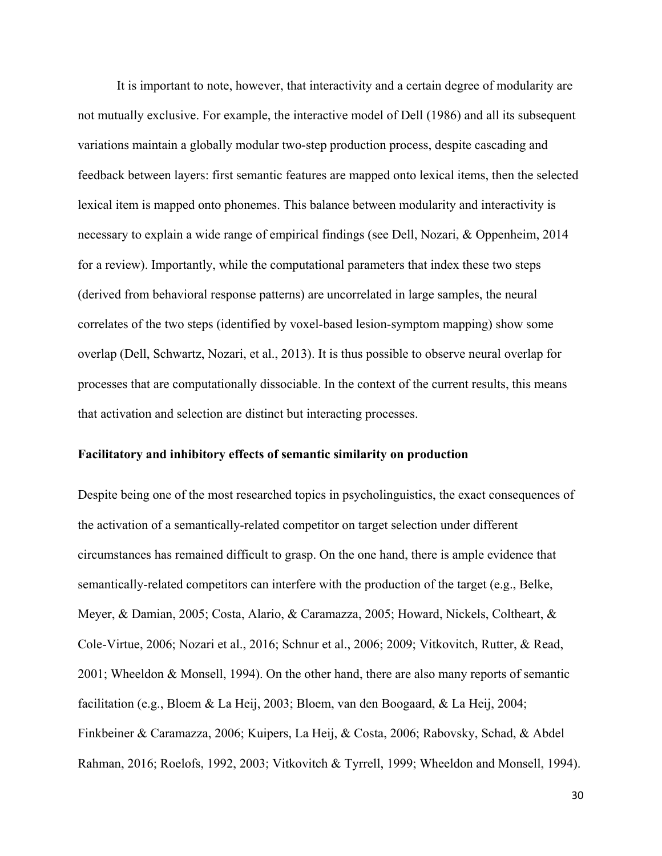It is important to note, however, that interactivity and a certain degree of modularity are not mutually exclusive. For example, the interactive model of Dell (1986) and all its subsequent variations maintain a globally modular two-step production process, despite cascading and feedback between layers: first semantic features are mapped onto lexical items, then the selected lexical item is mapped onto phonemes. This balance between modularity and interactivity is necessary to explain a wide range of empirical findings (see Dell, Nozari, & Oppenheim, 2014 for a review). Importantly, while the computational parameters that index these two steps (derived from behavioral response patterns) are uncorrelated in large samples, the neural correlates of the two steps (identified by voxel-based lesion-symptom mapping) show some overlap (Dell, Schwartz, Nozari, et al., 2013). It is thus possible to observe neural overlap for processes that are computationally dissociable. In the context of the current results, this means that activation and selection are distinct but interacting processes.

#### **Facilitatory and inhibitory effects of semantic similarity on production**

Despite being one of the most researched topics in psycholinguistics, the exact consequences of the activation of a semantically-related competitor on target selection under different circumstances has remained difficult to grasp. On the one hand, there is ample evidence that semantically-related competitors can interfere with the production of the target (e.g., Belke, Meyer, & Damian, 2005; Costa, Alario, & Caramazza, 2005; Howard, Nickels, Coltheart, & Cole-Virtue, 2006; Nozari et al., 2016; Schnur et al., 2006; 2009; Vitkovitch, Rutter, & Read, 2001; Wheeldon & Monsell, 1994). On the other hand, there are also many reports of semantic facilitation (e.g., Bloem & La Heij, 2003; Bloem, van den Boogaard, & La Heij, 2004; Finkbeiner & Caramazza, 2006; Kuipers, La Heij, & Costa, 2006; Rabovsky, Schad, & Abdel Rahman, 2016; Roelofs, 1992, 2003; Vitkovitch & Tyrrell, 1999; Wheeldon and Monsell, 1994).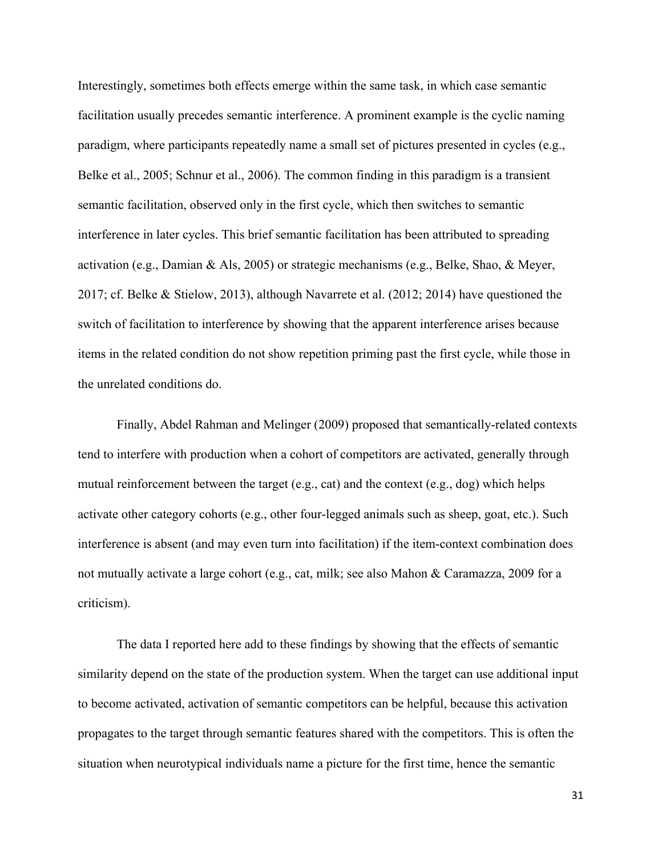Interestingly, sometimes both effects emerge within the same task, in which case semantic facilitation usually precedes semantic interference. A prominent example is the cyclic naming paradigm, where participants repeatedly name a small set of pictures presented in cycles (e.g., Belke et al., 2005; Schnur et al., 2006). The common finding in this paradigm is a transient semantic facilitation, observed only in the first cycle, which then switches to semantic interference in later cycles. This brief semantic facilitation has been attributed to spreading activation (e.g., Damian & Als, 2005) or strategic mechanisms (e.g., Belke, Shao, & Meyer, 2017; cf. Belke & Stielow, 2013), although Navarrete et al. (2012; 2014) have questioned the switch of facilitation to interference by showing that the apparent interference arises because items in the related condition do not show repetition priming past the first cycle, while those in the unrelated conditions do.

Finally, Abdel Rahman and Melinger (2009) proposed that semantically-related contexts tend to interfere with production when a cohort of competitors are activated, generally through mutual reinforcement between the target (e.g., cat) and the context (e.g., dog) which helps activate other category cohorts (e.g., other four-legged animals such as sheep, goat, etc.). Such interference is absent (and may even turn into facilitation) if the item-context combination does not mutually activate a large cohort (e.g., cat, milk; see also Mahon & Caramazza, 2009 for a criticism).

The data I reported here add to these findings by showing that the effects of semantic similarity depend on the state of the production system. When the target can use additional input to become activated, activation of semantic competitors can be helpful, because this activation propagates to the target through semantic features shared with the competitors. This is often the situation when neurotypical individuals name a picture for the first time, hence the semantic

31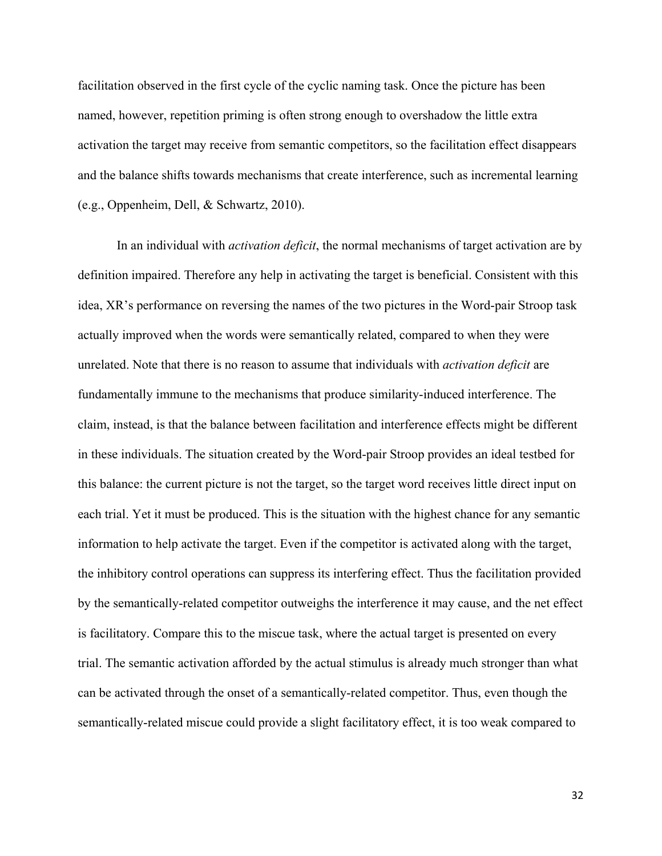facilitation observed in the first cycle of the cyclic naming task. Once the picture has been named, however, repetition priming is often strong enough to overshadow the little extra activation the target may receive from semantic competitors, so the facilitation effect disappears and the balance shifts towards mechanisms that create interference, such as incremental learning (e.g., Oppenheim, Dell, & Schwartz, 2010).

In an individual with *activation deficit*, the normal mechanisms of target activation are by definition impaired. Therefore any help in activating the target is beneficial. Consistent with this idea, XR's performance on reversing the names of the two pictures in the Word-pair Stroop task actually improved when the words were semantically related, compared to when they were unrelated. Note that there is no reason to assume that individuals with *activation deficit* are fundamentally immune to the mechanisms that produce similarity-induced interference. The claim, instead, is that the balance between facilitation and interference effects might be different in these individuals. The situation created by the Word-pair Stroop provides an ideal testbed for this balance: the current picture is not the target, so the target word receives little direct input on each trial. Yet it must be produced. This is the situation with the highest chance for any semantic information to help activate the target. Even if the competitor is activated along with the target, the inhibitory control operations can suppress its interfering effect. Thus the facilitation provided by the semantically-related competitor outweighs the interference it may cause, and the net effect is facilitatory. Compare this to the miscue task, where the actual target is presented on every trial. The semantic activation afforded by the actual stimulus is already much stronger than what can be activated through the onset of a semantically-related competitor. Thus, even though the semantically-related miscue could provide a slight facilitatory effect, it is too weak compared to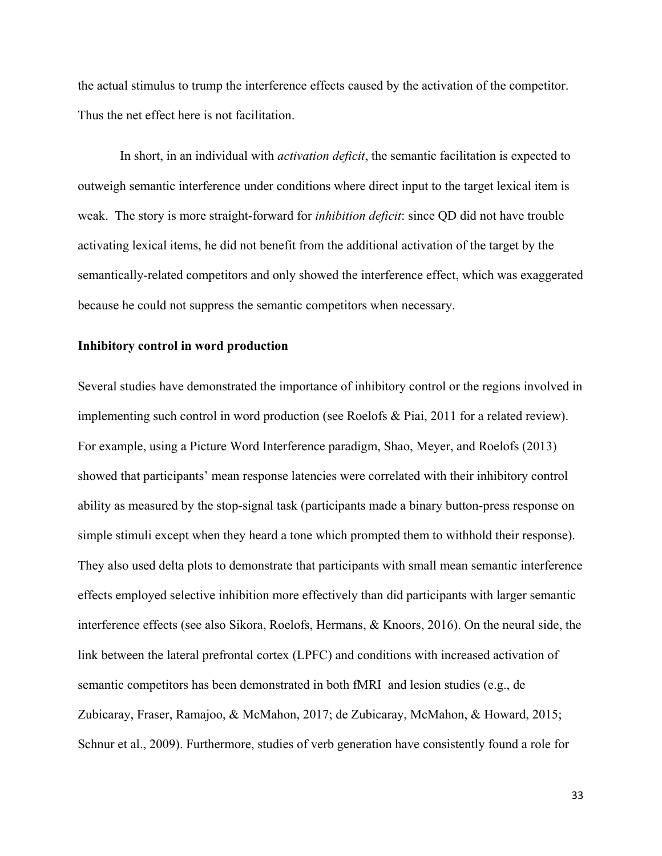the actual stimulus to trump the interference effects caused by the activation of the competitor. Thus the net effect here is not facilitation.

In short, in an individual with *activation deficit*, the semantic facilitation is expected to outweigh semantic interference under conditions where direct input to the target lexical item is weak. The story is more straight-forward for *inhibition deficit*: since QD did not have trouble activating lexical items, he did not benefit from the additional activation of the target by the semantically-related competitors and only showed the interference effect, which was exaggerated because he could not suppress the semantic competitors when necessary.

#### **Inhibitory control in word production**

Several studies have demonstrated the importance of inhibitory control or the regions involved in implementing such control in word production (see Roelofs & Piai, 2011 for a related review). For example, using a Picture Word Interference paradigm, Shao, Meyer, and Roelofs (2013) showed that participants' mean response latencies were correlated with their inhibitory control ability as measured by the stop-signal task (participants made a binary button-press response on simple stimuli except when they heard a tone which prompted them to withhold their response). They also used delta plots to demonstrate that participants with small mean semantic interference effects employed selective inhibition more effectively than did participants with larger semantic interference effects (see also Sikora, Roelofs, Hermans, & Knoors, 2016). On the neural side, the link between the lateral prefrontal cortex (LPFC) and conditions with increased activation of semantic competitors has been demonstrated in both fMRI and lesion studies (e.g., de Zubicaray, Fraser, Ramajoo, & McMahon, 2017; de Zubicaray, McMahon, & Howard, 2015; Schnur et al., 2009). Furthermore, studies of verb generation have consistently found a role for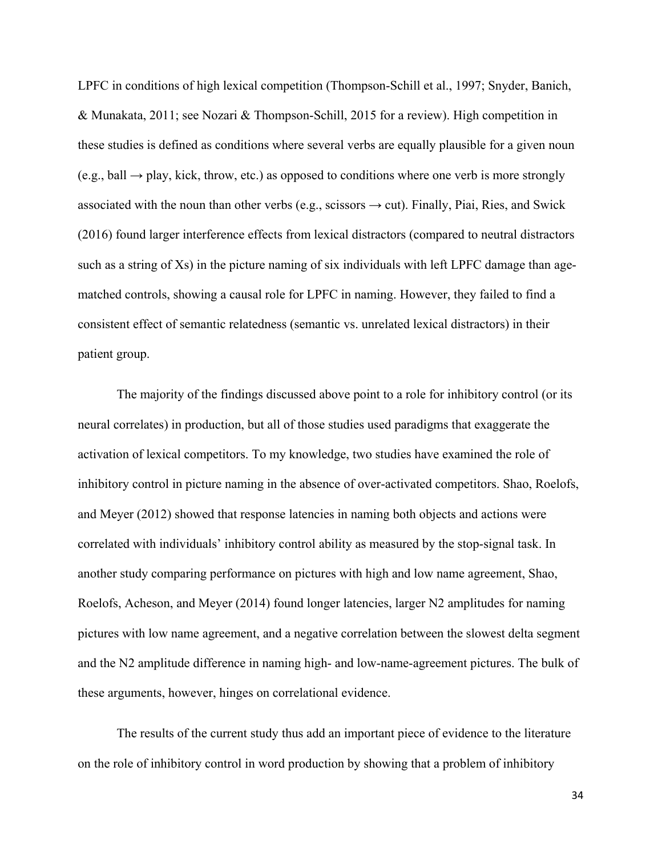LPFC in conditions of high lexical competition (Thompson-Schill et al., 1997; Snyder, Banich, & Munakata, 2011; see Nozari & Thompson-Schill, 2015 for a review). High competition in these studies is defined as conditions where several verbs are equally plausible for a given noun  $(e.g., ball \rightarrow play, kick, throw, etc.)$  as opposed to conditions where one verb is more strongly associated with the noun than other verbs (e.g., scissors  $\rightarrow$  cut). Finally, Piai, Ries, and Swick (2016) found larger interference effects from lexical distractors (compared to neutral distractors such as a string of Xs) in the picture naming of six individuals with left LPFC damage than agematched controls, showing a causal role for LPFC in naming. However, they failed to find a consistent effect of semantic relatedness (semantic vs. unrelated lexical distractors) in their patient group.

The majority of the findings discussed above point to a role for inhibitory control (or its neural correlates) in production, but all of those studies used paradigms that exaggerate the activation of lexical competitors. To my knowledge, two studies have examined the role of inhibitory control in picture naming in the absence of over-activated competitors. Shao, Roelofs, and Meyer (2012) showed that response latencies in naming both objects and actions were correlated with individuals' inhibitory control ability as measured by the stop-signal task. In another study comparing performance on pictures with high and low name agreement, Shao, Roelofs, Acheson, and Meyer (2014) found longer latencies, larger N2 amplitudes for naming pictures with low name agreement, and a negative correlation between the slowest delta segment and the N2 amplitude difference in naming high- and low-name-agreement pictures. The bulk of these arguments, however, hinges on correlational evidence.

The results of the current study thus add an important piece of evidence to the literature on the role of inhibitory control in word production by showing that a problem of inhibitory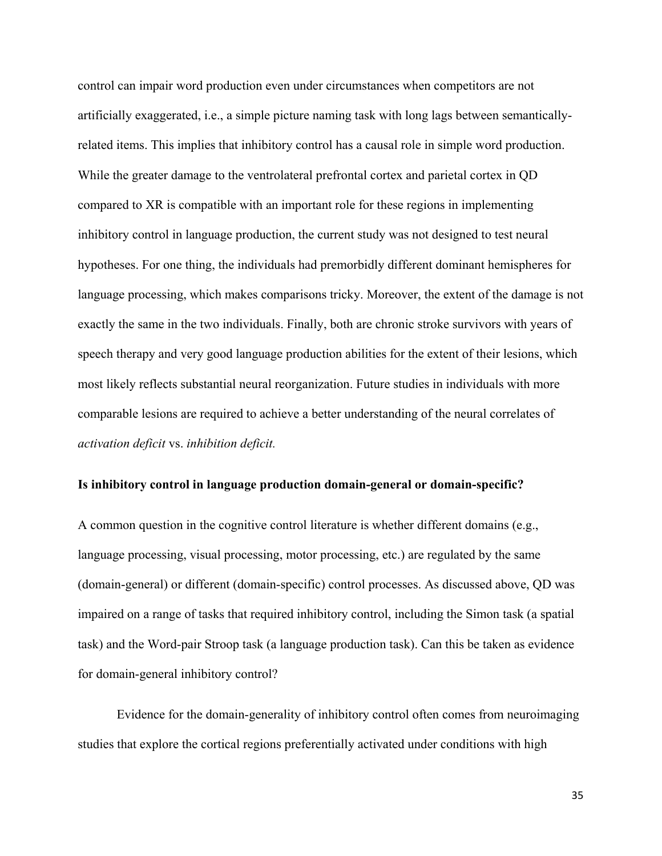control can impair word production even under circumstances when competitors are not artificially exaggerated, i.e., a simple picture naming task with long lags between semanticallyrelated items. This implies that inhibitory control has a causal role in simple word production. While the greater damage to the ventrolateral prefrontal cortex and parietal cortex in QD compared to XR is compatible with an important role for these regions in implementing inhibitory control in language production, the current study was not designed to test neural hypotheses. For one thing, the individuals had premorbidly different dominant hemispheres for language processing, which makes comparisons tricky. Moreover, the extent of the damage is not exactly the same in the two individuals. Finally, both are chronic stroke survivors with years of speech therapy and very good language production abilities for the extent of their lesions, which most likely reflects substantial neural reorganization. Future studies in individuals with more comparable lesions are required to achieve a better understanding of the neural correlates of *activation deficit* vs. *inhibition deficit.*

### **Is inhibitory control in language production domain-general or domain-specific?**

A common question in the cognitive control literature is whether different domains (e.g., language processing, visual processing, motor processing, etc.) are regulated by the same (domain-general) or different (domain-specific) control processes. As discussed above, QD was impaired on a range of tasks that required inhibitory control, including the Simon task (a spatial task) and the Word-pair Stroop task (a language production task). Can this be taken as evidence for domain-general inhibitory control?

Evidence for the domain-generality of inhibitory control often comes from neuroimaging studies that explore the cortical regions preferentially activated under conditions with high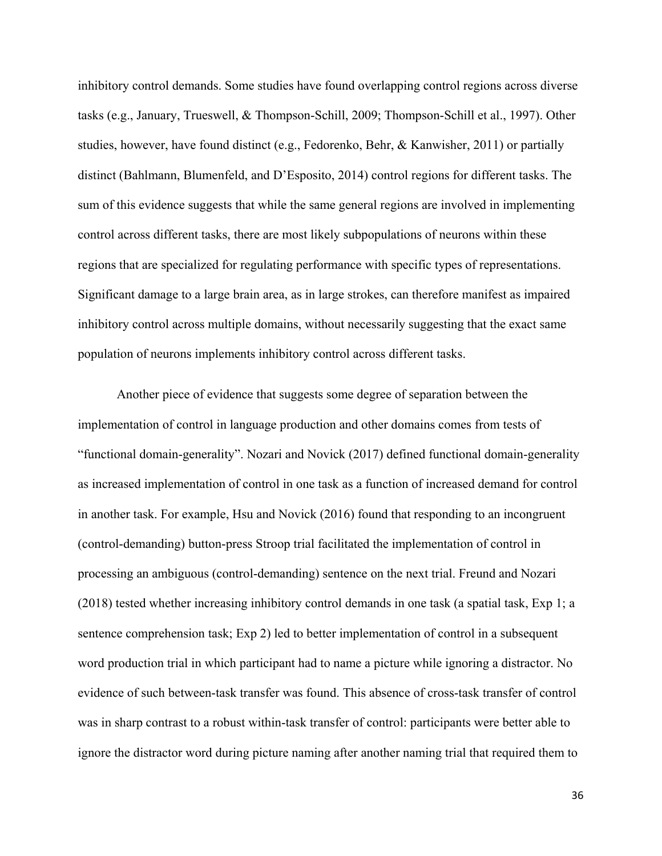inhibitory control demands. Some studies have found overlapping control regions across diverse tasks (e.g., January, Trueswell, & Thompson-Schill, 2009; Thompson-Schill et al., 1997). Other studies, however, have found distinct (e.g., Fedorenko, Behr, & Kanwisher, 2011) or partially distinct (Bahlmann, Blumenfeld, and D'Esposito, 2014) control regions for different tasks. The sum of this evidence suggests that while the same general regions are involved in implementing control across different tasks, there are most likely subpopulations of neurons within these regions that are specialized for regulating performance with specific types of representations. Significant damage to a large brain area, as in large strokes, can therefore manifest as impaired inhibitory control across multiple domains, without necessarily suggesting that the exact same population of neurons implements inhibitory control across different tasks.

Another piece of evidence that suggests some degree of separation between the implementation of control in language production and other domains comes from tests of "functional domain-generality". Nozari and Novick (2017) defined functional domain-generality as increased implementation of control in one task as a function of increased demand for control in another task. For example, Hsu and Novick (2016) found that responding to an incongruent (control-demanding) button-press Stroop trial facilitated the implementation of control in processing an ambiguous (control-demanding) sentence on the next trial. Freund and Nozari (2018) tested whether increasing inhibitory control demands in one task (a spatial task, Exp 1; a sentence comprehension task; Exp 2) led to better implementation of control in a subsequent word production trial in which participant had to name a picture while ignoring a distractor. No evidence of such between-task transfer was found. This absence of cross-task transfer of control was in sharp contrast to a robust within-task transfer of control: participants were better able to ignore the distractor word during picture naming after another naming trial that required them to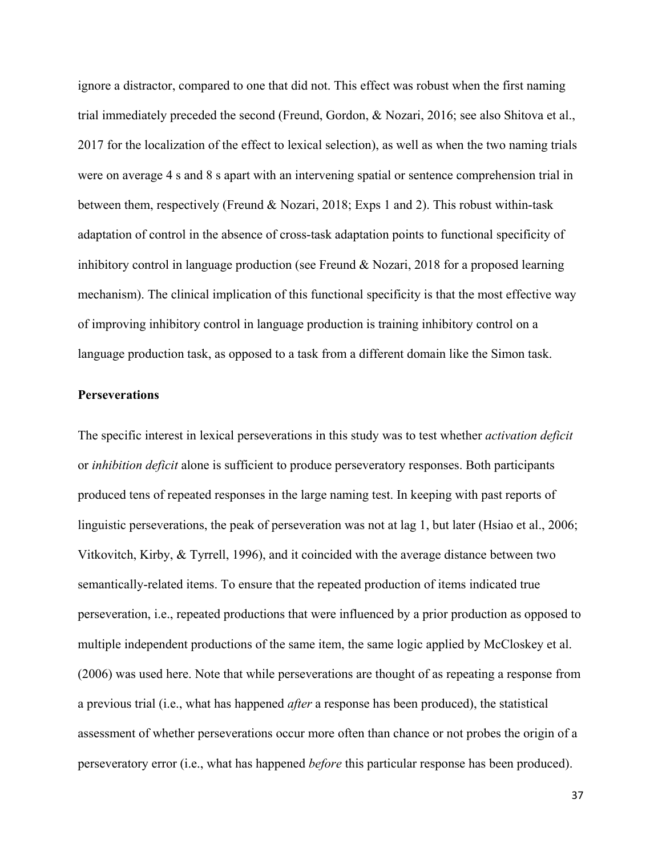ignore a distractor, compared to one that did not. This effect was robust when the first naming trial immediately preceded the second (Freund, Gordon, & Nozari, 2016; see also Shitova et al., 2017 for the localization of the effect to lexical selection), as well as when the two naming trials were on average 4 s and 8 s apart with an intervening spatial or sentence comprehension trial in between them, respectively (Freund & Nozari, 2018; Exps 1 and 2). This robust within-task adaptation of control in the absence of cross-task adaptation points to functional specificity of inhibitory control in language production (see Freund & Nozari, 2018 for a proposed learning mechanism). The clinical implication of this functional specificity is that the most effective way of improving inhibitory control in language production is training inhibitory control on a language production task, as opposed to a task from a different domain like the Simon task.

### **Perseverations**

The specific interest in lexical perseverations in this study was to test whether *activation deficit*  or *inhibition deficit* alone is sufficient to produce perseveratory responses. Both participants produced tens of repeated responses in the large naming test. In keeping with past reports of linguistic perseverations, the peak of perseveration was not at lag 1, but later (Hsiao et al., 2006; Vitkovitch, Kirby, & Tyrrell, 1996), and it coincided with the average distance between two semantically-related items. To ensure that the repeated production of items indicated true perseveration, i.e., repeated productions that were influenced by a prior production as opposed to multiple independent productions of the same item, the same logic applied by McCloskey et al. (2006) was used here. Note that while perseverations are thought of as repeating a response from a previous trial (i.e., what has happened *after* a response has been produced), the statistical assessment of whether perseverations occur more often than chance or not probes the origin of a perseveratory error (i.e., what has happened *before* this particular response has been produced).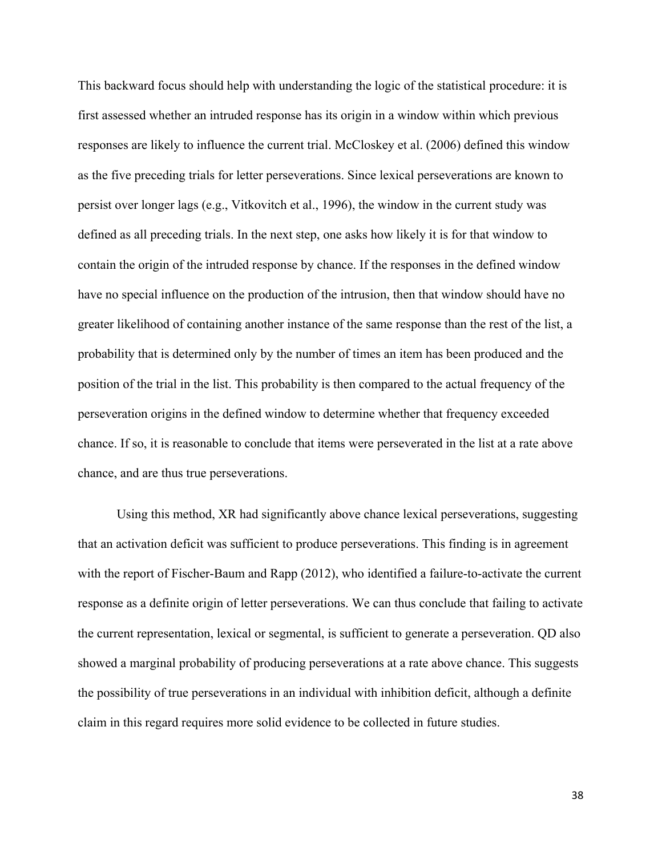This backward focus should help with understanding the logic of the statistical procedure: it is first assessed whether an intruded response has its origin in a window within which previous responses are likely to influence the current trial. McCloskey et al. (2006) defined this window as the five preceding trials for letter perseverations. Since lexical perseverations are known to persist over longer lags (e.g., Vitkovitch et al., 1996), the window in the current study was defined as all preceding trials. In the next step, one asks how likely it is for that window to contain the origin of the intruded response by chance. If the responses in the defined window have no special influence on the production of the intrusion, then that window should have no greater likelihood of containing another instance of the same response than the rest of the list, a probability that is determined only by the number of times an item has been produced and the position of the trial in the list. This probability is then compared to the actual frequency of the perseveration origins in the defined window to determine whether that frequency exceeded chance. If so, it is reasonable to conclude that items were perseverated in the list at a rate above chance, and are thus true perseverations.

Using this method, XR had significantly above chance lexical perseverations, suggesting that an activation deficit was sufficient to produce perseverations. This finding is in agreement with the report of Fischer-Baum and Rapp (2012), who identified a failure-to-activate the current response as a definite origin of letter perseverations. We can thus conclude that failing to activate the current representation, lexical or segmental, is sufficient to generate a perseveration. QD also showed a marginal probability of producing perseverations at a rate above chance. This suggests the possibility of true perseverations in an individual with inhibition deficit, although a definite claim in this regard requires more solid evidence to be collected in future studies.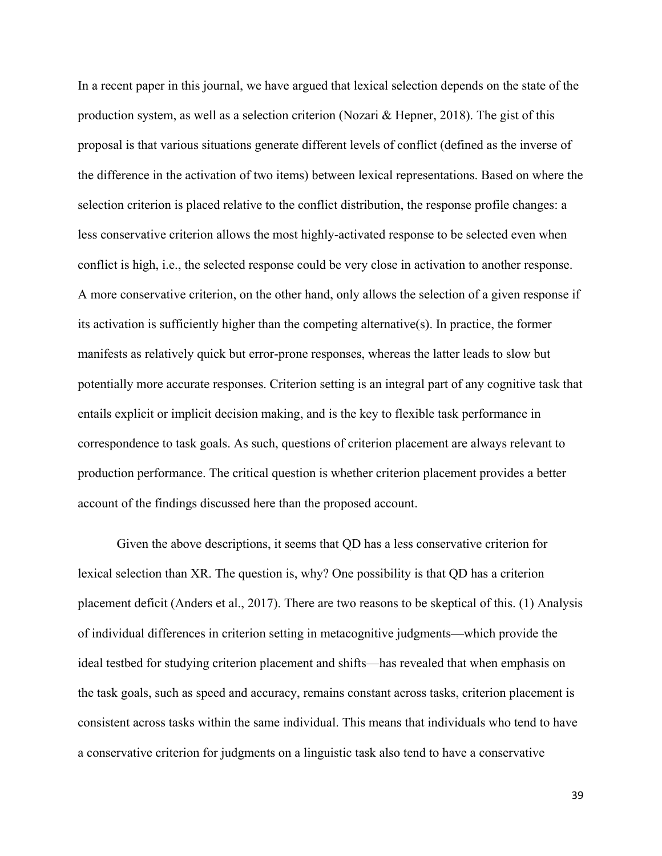In a recent paper in this journal, we have argued that lexical selection depends on the state of the production system, as well as a selection criterion (Nozari & Hepner, 2018). The gist of this proposal is that various situations generate different levels of conflict (defined as the inverse of the difference in the activation of two items) between lexical representations. Based on where the selection criterion is placed relative to the conflict distribution, the response profile changes: a less conservative criterion allows the most highly-activated response to be selected even when conflict is high, i.e., the selected response could be very close in activation to another response. A more conservative criterion, on the other hand, only allows the selection of a given response if its activation is sufficiently higher than the competing alternative(s). In practice, the former manifests as relatively quick but error-prone responses, whereas the latter leads to slow but potentially more accurate responses. Criterion setting is an integral part of any cognitive task that entails explicit or implicit decision making, and is the key to flexible task performance in correspondence to task goals. As such, questions of criterion placement are always relevant to production performance. The critical question is whether criterion placement provides a better account of the findings discussed here than the proposed account.

Given the above descriptions, it seems that QD has a less conservative criterion for lexical selection than XR. The question is, why? One possibility is that QD has a criterion placement deficit (Anders et al., 2017). There are two reasons to be skeptical of this. (1) Analysis of individual differences in criterion setting in metacognitive judgments—which provide the ideal testbed for studying criterion placement and shifts—has revealed that when emphasis on the task goals, such as speed and accuracy, remains constant across tasks, criterion placement is consistent across tasks within the same individual. This means that individuals who tend to have a conservative criterion for judgments on a linguistic task also tend to have a conservative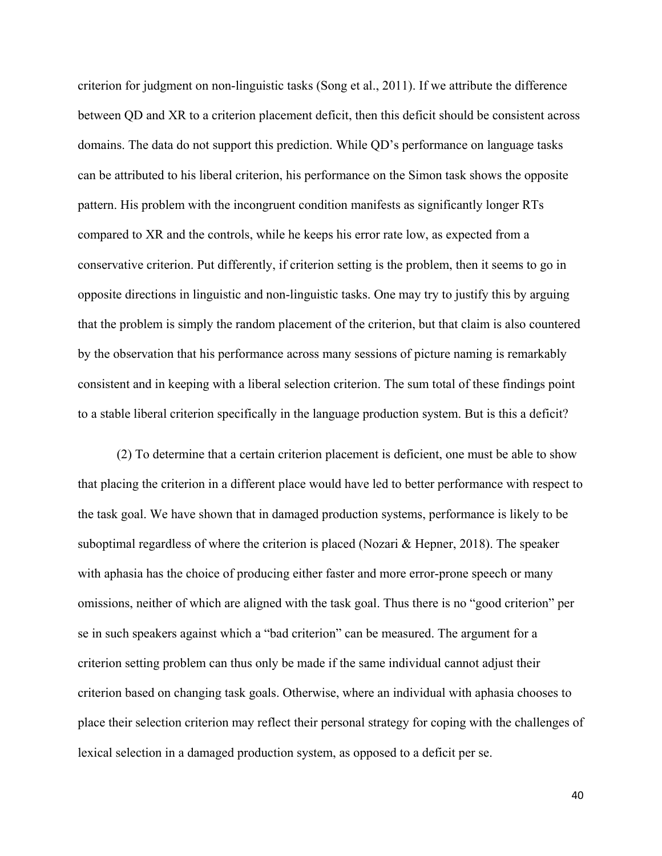criterion for judgment on non-linguistic tasks (Song et al., 2011). If we attribute the difference between QD and XR to a criterion placement deficit, then this deficit should be consistent across domains. The data do not support this prediction. While QD's performance on language tasks can be attributed to his liberal criterion, his performance on the Simon task shows the opposite pattern. His problem with the incongruent condition manifests as significantly longer RTs compared to XR and the controls, while he keeps his error rate low, as expected from a conservative criterion. Put differently, if criterion setting is the problem, then it seems to go in opposite directions in linguistic and non-linguistic tasks. One may try to justify this by arguing that the problem is simply the random placement of the criterion, but that claim is also countered by the observation that his performance across many sessions of picture naming is remarkably consistent and in keeping with a liberal selection criterion. The sum total of these findings point to a stable liberal criterion specifically in the language production system. But is this a deficit?

(2) To determine that a certain criterion placement is deficient, one must be able to show that placing the criterion in a different place would have led to better performance with respect to the task goal. We have shown that in damaged production systems, performance is likely to be suboptimal regardless of where the criterion is placed (Nozari & Hepner, 2018). The speaker with aphasia has the choice of producing either faster and more error-prone speech or many omissions, neither of which are aligned with the task goal. Thus there is no "good criterion" per se in such speakers against which a "bad criterion" can be measured. The argument for a criterion setting problem can thus only be made if the same individual cannot adjust their criterion based on changing task goals. Otherwise, where an individual with aphasia chooses to place their selection criterion may reflect their personal strategy for coping with the challenges of lexical selection in a damaged production system, as opposed to a deficit per se.

40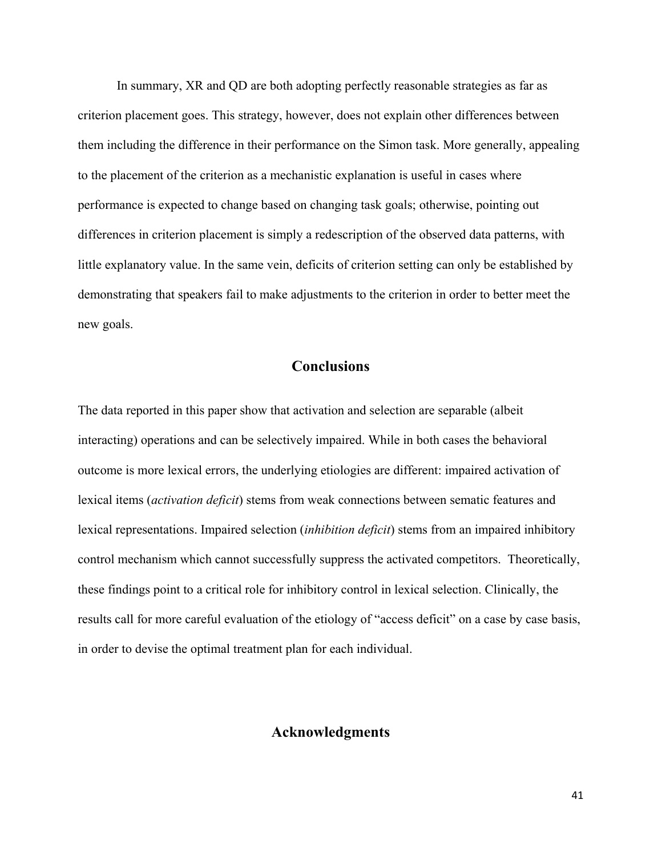In summary, XR and QD are both adopting perfectly reasonable strategies as far as criterion placement goes. This strategy, however, does not explain other differences between them including the difference in their performance on the Simon task. More generally, appealing to the placement of the criterion as a mechanistic explanation is useful in cases where performance is expected to change based on changing task goals; otherwise, pointing out differences in criterion placement is simply a redescription of the observed data patterns, with little explanatory value. In the same vein, deficits of criterion setting can only be established by demonstrating that speakers fail to make adjustments to the criterion in order to better meet the new goals.

### **Conclusions**

The data reported in this paper show that activation and selection are separable (albeit interacting) operations and can be selectively impaired. While in both cases the behavioral outcome is more lexical errors, the underlying etiologies are different: impaired activation of lexical items (*activation deficit*) stems from weak connections between sematic features and lexical representations. Impaired selection (*inhibition deficit*) stems from an impaired inhibitory control mechanism which cannot successfully suppress the activated competitors. Theoretically, these findings point to a critical role for inhibitory control in lexical selection. Clinically, the results call for more careful evaluation of the etiology of "access deficit" on a case by case basis, in order to devise the optimal treatment plan for each individual.

### **Acknowledgments**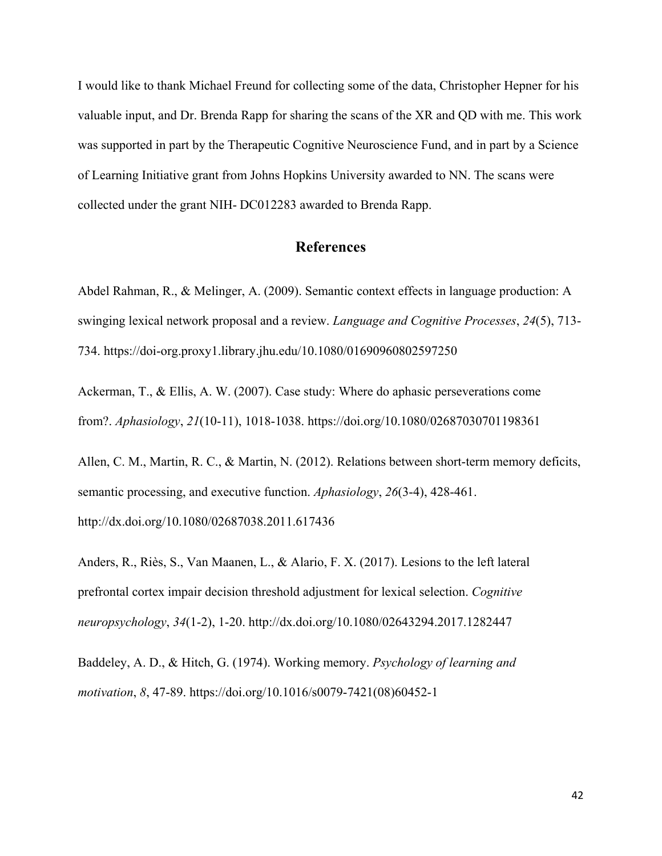I would like to thank Michael Freund for collecting some of the data, Christopher Hepner for his valuable input, and Dr. Brenda Rapp for sharing the scans of the XR and QD with me. This work was supported in part by the Therapeutic Cognitive Neuroscience Fund, and in part by a Science of Learning Initiative grant from Johns Hopkins University awarded to NN. The scans were collected under the grant NIH- DC012283 awarded to Brenda Rapp.

### **References**

Abdel Rahman, R., & Melinger, A. (2009). Semantic context effects in language production: A swinging lexical network proposal and a review. *Language and Cognitive Processes*, *24*(5), 713- 734. https://doi-org.proxy1.library.jhu.edu/10.1080/01690960802597250

Ackerman, T., & Ellis, A. W. (2007). Case study: Where do aphasic perseverations come from?. *Aphasiology*, *21*(10-11), 1018-1038. https://doi.org/10.1080/02687030701198361

Allen, C. M., Martin, R. C., & Martin, N. (2012). Relations between short-term memory deficits, semantic processing, and executive function. *Aphasiology*, *26*(3-4), 428-461. http://dx.doi.org/10.1080/02687038.2011.617436

Anders, R., Riès, S., Van Maanen, L., & Alario, F. X. (2017). Lesions to the left lateral prefrontal cortex impair decision threshold adjustment for lexical selection. *Cognitive neuropsychology*, *34*(1-2), 1-20. http://dx.doi.org/10.1080/02643294.2017.1282447

Baddeley, A. D., & Hitch, G. (1974). Working memory. *Psychology of learning and motivation*, *8*, 47-89. https://doi.org/10.1016/s0079-7421(08)60452-1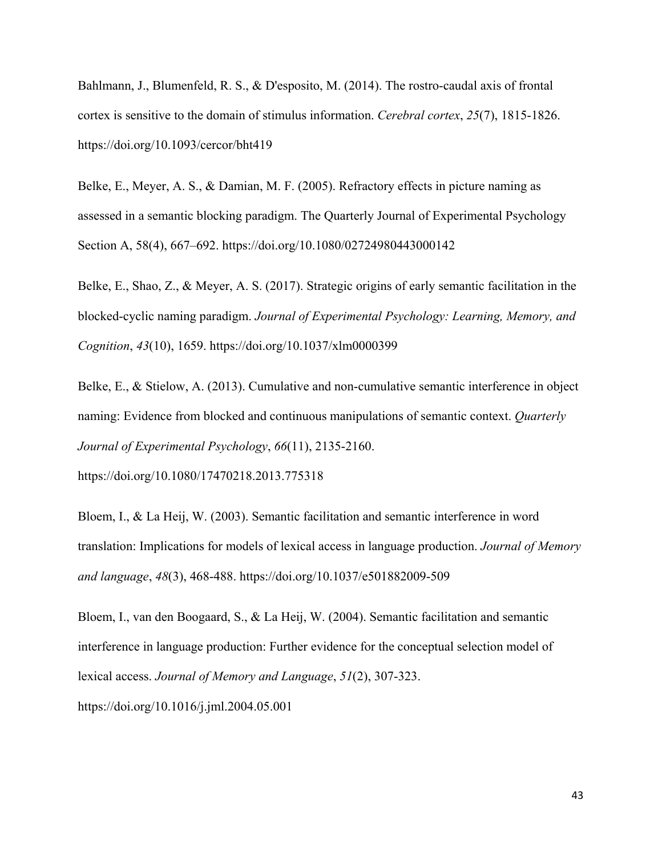Bahlmann, J., Blumenfeld, R. S., & D'esposito, M. (2014). The rostro-caudal axis of frontal cortex is sensitive to the domain of stimulus information. *Cerebral cortex*, *25*(7), 1815-1826. https://doi.org/10.1093/cercor/bht419

Belke, E., Meyer, A. S., & Damian, M. F. (2005). Refractory effects in picture naming as assessed in a semantic blocking paradigm. The Quarterly Journal of Experimental Psychology Section A, 58(4), 667–692. https://doi.org/10.1080/02724980443000142

Belke, E., Shao, Z., & Meyer, A. S. (2017). Strategic origins of early semantic facilitation in the blocked-cyclic naming paradigm. *Journal of Experimental Psychology: Learning, Memory, and Cognition*, *43*(10), 1659. https://doi.org/10.1037/xlm0000399

Belke, E., & Stielow, A. (2013). Cumulative and non-cumulative semantic interference in object naming: Evidence from blocked and continuous manipulations of semantic context. *Quarterly Journal of Experimental Psychology*, *66*(11), 2135-2160.

https://doi.org/10.1080/17470218.2013.775318

Bloem, I., & La Heij, W. (2003). Semantic facilitation and semantic interference in word translation: Implications for models of lexical access in language production. *Journal of Memory and language*, *48*(3), 468-488. https://doi.org/10.1037/e501882009-509

Bloem, I., van den Boogaard, S., & La Heij, W. (2004). Semantic facilitation and semantic interference in language production: Further evidence for the conceptual selection model of lexical access. *Journal of Memory and Language*, *51*(2), 307-323. https://doi.org/10.1016/j.jml.2004.05.001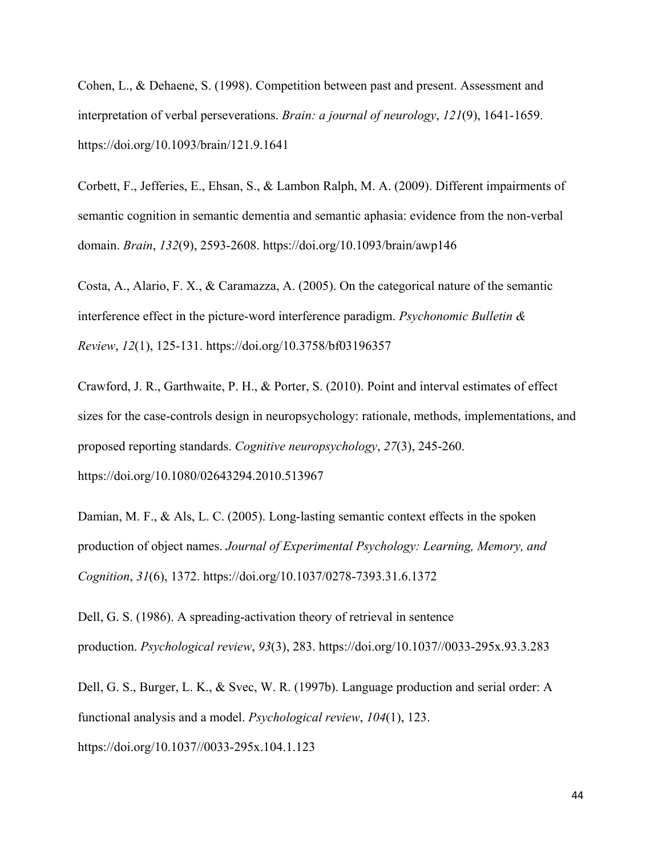Cohen, L., & Dehaene, S. (1998). Competition between past and present. Assessment and interpretation of verbal perseverations. *Brain: a journal of neurology*, *121*(9), 1641-1659. https://doi.org/10.1093/brain/121.9.1641

Corbett, F., Jefferies, E., Ehsan, S., & Lambon Ralph, M. A. (2009). Different impairments of semantic cognition in semantic dementia and semantic aphasia: evidence from the non-verbal domain. *Brain*, *132*(9), 2593-2608. https://doi.org/10.1093/brain/awp146

Costa, A., Alario, F. X., & Caramazza, A. (2005). On the categorical nature of the semantic interference effect in the picture-word interference paradigm. *Psychonomic Bulletin & Review*, *12*(1), 125-131. https://doi.org/10.3758/bf03196357

Crawford, J. R., Garthwaite, P. H., & Porter, S. (2010). Point and interval estimates of effect sizes for the case-controls design in neuropsychology: rationale, methods, implementations, and proposed reporting standards. *Cognitive neuropsychology*, *27*(3), 245-260. https://doi.org/10.1080/02643294.2010.513967

Damian, M. F., & Als, L. C. (2005). Long-lasting semantic context effects in the spoken production of object names. *Journal of Experimental Psychology: Learning, Memory, and Cognition*, *31*(6), 1372. https://doi.org/10.1037/0278-7393.31.6.1372

Dell, G. S. (1986). A spreading-activation theory of retrieval in sentence production. *Psychological review*, *93*(3), 283. https://doi.org/10.1037//0033-295x.93.3.283

Dell, G. S., Burger, L. K., & Svec, W. R. (1997b). Language production and serial order: A functional analysis and a model. *Psychological review*, *104*(1), 123.

https://doi.org/10.1037//0033-295x.104.1.123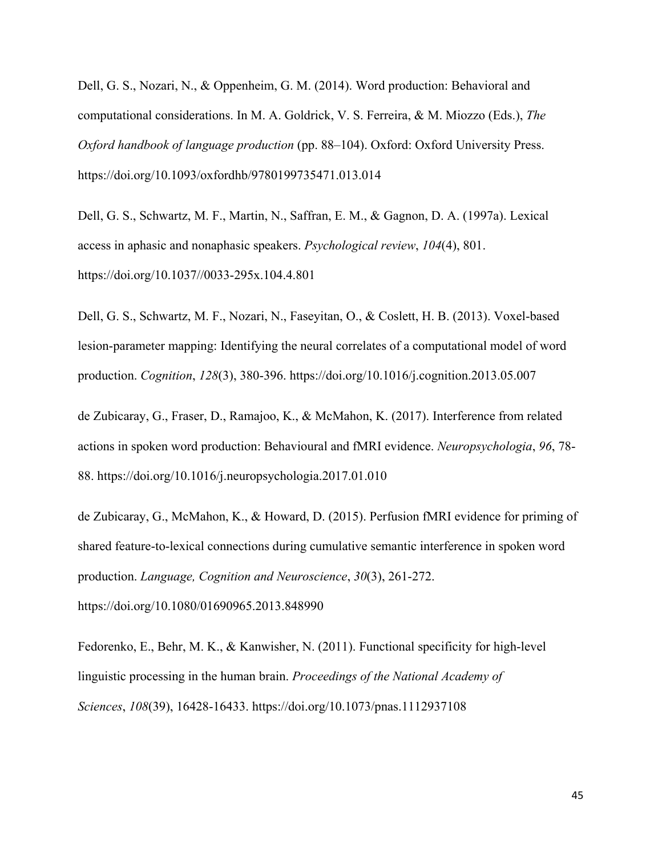Dell, G. S., Nozari, N., & Oppenheim, G. M. (2014). Word production: Behavioral and computational considerations. In M. A. Goldrick, V. S. Ferreira, & M. Miozzo (Eds.), *The Oxford handbook of language production* (pp. 88–104). Oxford: Oxford University Press. https://doi.org/10.1093/oxfordhb/9780199735471.013.014

Dell, G. S., Schwartz, M. F., Martin, N., Saffran, E. M., & Gagnon, D. A. (1997a). Lexical access in aphasic and nonaphasic speakers. *Psychological review*, *104*(4), 801. https://doi.org/10.1037//0033-295x.104.4.801

Dell, G. S., Schwartz, M. F., Nozari, N., Faseyitan, O., & Coslett, H. B. (2013). Voxel-based lesion-parameter mapping: Identifying the neural correlates of a computational model of word production. *Cognition*, *128*(3), 380-396. https://doi.org/10.1016/j.cognition.2013.05.007

de Zubicaray, G., Fraser, D., Ramajoo, K., & McMahon, K. (2017). Interference from related actions in spoken word production: Behavioural and fMRI evidence. *Neuropsychologia*, *96*, 78- 88. https://doi.org/10.1016/j.neuropsychologia.2017.01.010

de Zubicaray, G., McMahon, K., & Howard, D. (2015). Perfusion fMRI evidence for priming of shared feature-to-lexical connections during cumulative semantic interference in spoken word production. *Language, Cognition and Neuroscience*, *30*(3), 261-272. https://doi.org/10.1080/01690965.2013.848990

Fedorenko, E., Behr, M. K., & Kanwisher, N. (2011). Functional specificity for high-level linguistic processing in the human brain. *Proceedings of the National Academy of Sciences*, *108*(39), 16428-16433. https://doi.org/10.1073/pnas.1112937108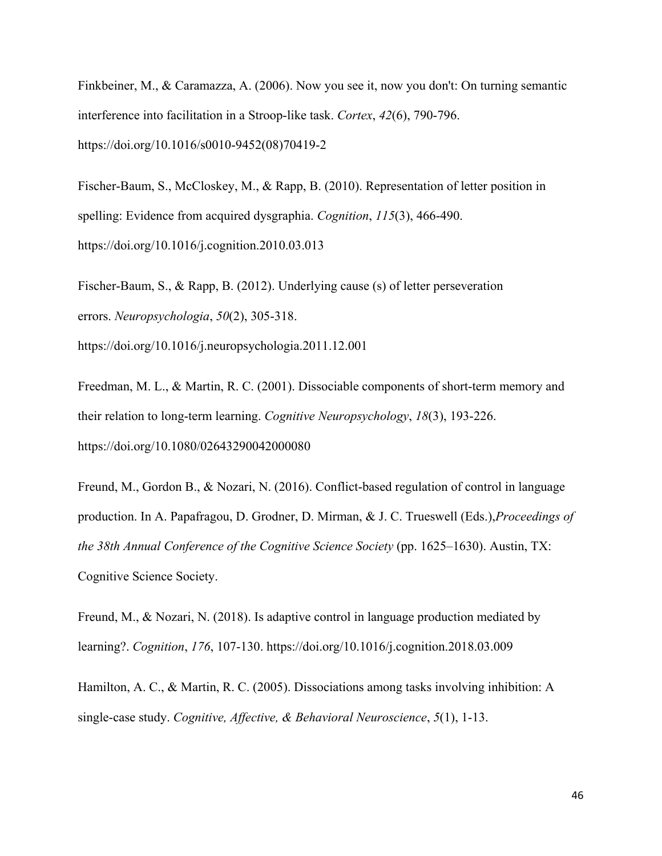Finkbeiner, M., & Caramazza, A. (2006). Now you see it, now you don't: On turning semantic interference into facilitation in a Stroop-like task. *Cortex*, *42*(6), 790-796. https://doi.org/10.1016/s0010-9452(08)70419-2

Fischer-Baum, S., McCloskey, M., & Rapp, B. (2010). Representation of letter position in spelling: Evidence from acquired dysgraphia. *Cognition*, *115*(3), 466-490. https://doi.org/10.1016/j.cognition.2010.03.013

Fischer-Baum, S., & Rapp, B. (2012). Underlying cause (s) of letter perseveration errors. *Neuropsychologia*, *50*(2), 305-318.

https://doi.org/10.1016/j.neuropsychologia.2011.12.001

Freedman, M. L., & Martin, R. C. (2001). Dissociable components of short-term memory and their relation to long-term learning. *Cognitive Neuropsychology*, *18*(3), 193-226. https://doi.org/10.1080/02643290042000080

Freund, M., Gordon B., & Nozari, N. (2016). Conflict-based regulation of control in language production. In A. Papafragou, D. Grodner, D. Mirman, & J. C. Trueswell (Eds.),*Proceedings of the 38th Annual Conference of the Cognitive Science Society* (pp. 1625–1630). Austin, TX: Cognitive Science Society.

Freund, M., & Nozari, N. (2018). Is adaptive control in language production mediated by learning?. *Cognition*, *176*, 107-130. https://doi.org/10.1016/j.cognition.2018.03.009

Hamilton, A. C., & Martin, R. C. (2005). Dissociations among tasks involving inhibition: A single-case study. *Cognitive, Affective, & Behavioral Neuroscience*, *5*(1), 1-13.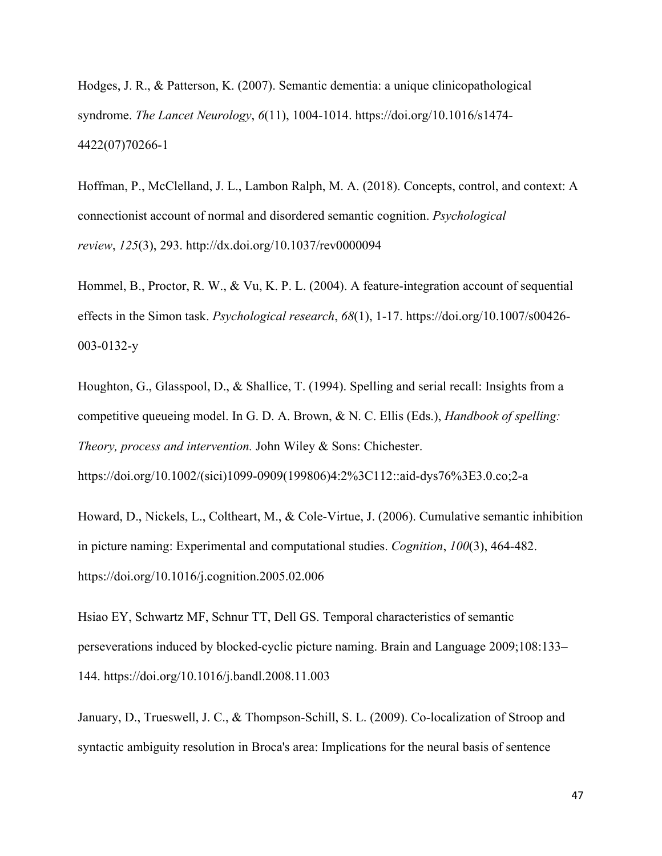Hodges, J. R., & Patterson, K. (2007). Semantic dementia: a unique clinicopathological syndrome. *The Lancet Neurology*, *6*(11), 1004-1014. https://doi.org/10.1016/s1474- 4422(07)70266-1

Hoffman, P., McClelland, J. L., Lambon Ralph, M. A. (2018). Concepts, control, and context: A connectionist account of normal and disordered semantic cognition. *Psychological review*, *125*(3), 293. http://dx.doi.org/10.1037/rev0000094

Hommel, B., Proctor, R. W., & Vu, K. P. L. (2004). A feature-integration account of sequential effects in the Simon task. *Psychological research*, *68*(1), 1-17. https://doi.org/10.1007/s00426- 003-0132-y

Houghton, G., Glasspool, D., & Shallice, T. (1994). Spelling and serial recall: Insights from a competitive queueing model. In G. D. A. Brown, & N. C. Ellis (Eds.), *Handbook of spelling: Theory, process and intervention.* John Wiley & Sons: Chichester. https://doi.org/10.1002/(sici)1099-0909(199806)4:2%3C112::aid-dys76%3E3.0.co;2-a

Howard, D., Nickels, L., Coltheart, M., & Cole-Virtue, J. (2006). Cumulative semantic inhibition in picture naming: Experimental and computational studies. *Cognition*, *100*(3), 464-482. https://doi.org/10.1016/j.cognition.2005.02.006

Hsiao EY, Schwartz MF, Schnur TT, Dell GS. Temporal characteristics of semantic perseverations induced by blocked-cyclic picture naming. Brain and Language 2009;108:133– 144. https://doi.org/10.1016/j.bandl.2008.11.003

January, D., Trueswell, J. C., & Thompson-Schill, S. L. (2009). Co-localization of Stroop and syntactic ambiguity resolution in Broca's area: Implications for the neural basis of sentence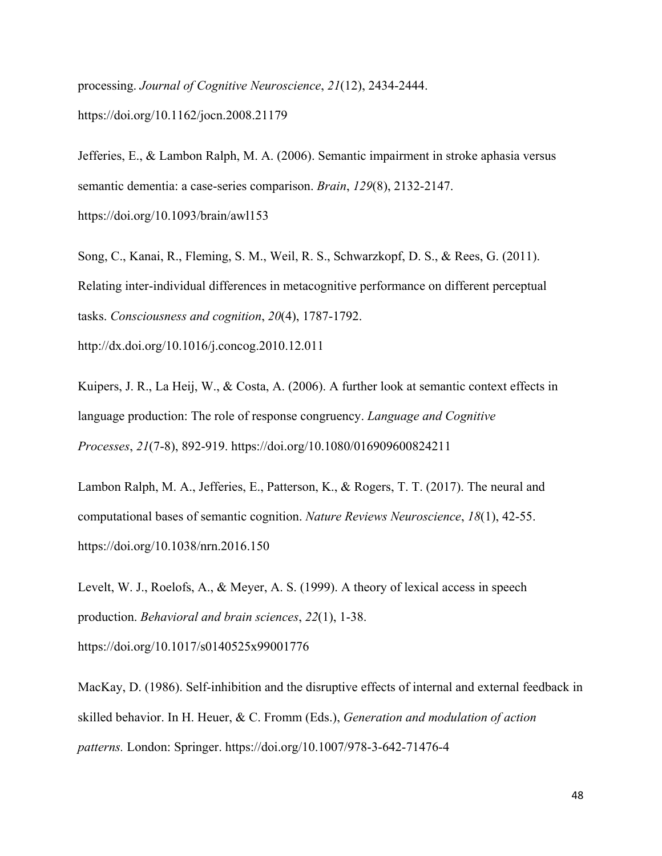processing. *Journal of Cognitive Neuroscience*, *21*(12), 2434-2444. https://doi.org/10.1162/jocn.2008.21179

Jefferies, E., & Lambon Ralph, M. A. (2006). Semantic impairment in stroke aphasia versus semantic dementia: a case-series comparison. *Brain*, *129*(8), 2132-2147. https://doi.org/10.1093/brain/awl153

Song, C., Kanai, R., Fleming, S. M., Weil, R. S., Schwarzkopf, D. S., & Rees, G. (2011). Relating inter-individual differences in metacognitive performance on different perceptual tasks. *Consciousness and cognition*, *20*(4), 1787-1792.

http://dx.doi.org/10.1016/j.concog.2010.12.011

Kuipers, J. R., La Heij, W., & Costa, A. (2006). A further look at semantic context effects in language production: The role of response congruency. *Language and Cognitive Processes*, *21*(7-8), 892-919. https://doi.org/10.1080/016909600824211

Lambon Ralph, M. A., Jefferies, E., Patterson, K., & Rogers, T. T. (2017). The neural and computational bases of semantic cognition. *Nature Reviews Neuroscience*, *18*(1), 42-55. https://doi.org/10.1038/nrn.2016.150

Levelt, W. J., Roelofs, A., & Meyer, A. S. (1999). A theory of lexical access in speech production. *Behavioral and brain sciences*, *22*(1), 1-38. https://doi.org/10.1017/s0140525x99001776

MacKay, D. (1986). Self-inhibition and the disruptive effects of internal and external feedback in skilled behavior. In H. Heuer, & C. Fromm (Eds.), *Generation and modulation of action patterns.* London: Springer. https://doi.org/10.1007/978-3-642-71476-4

48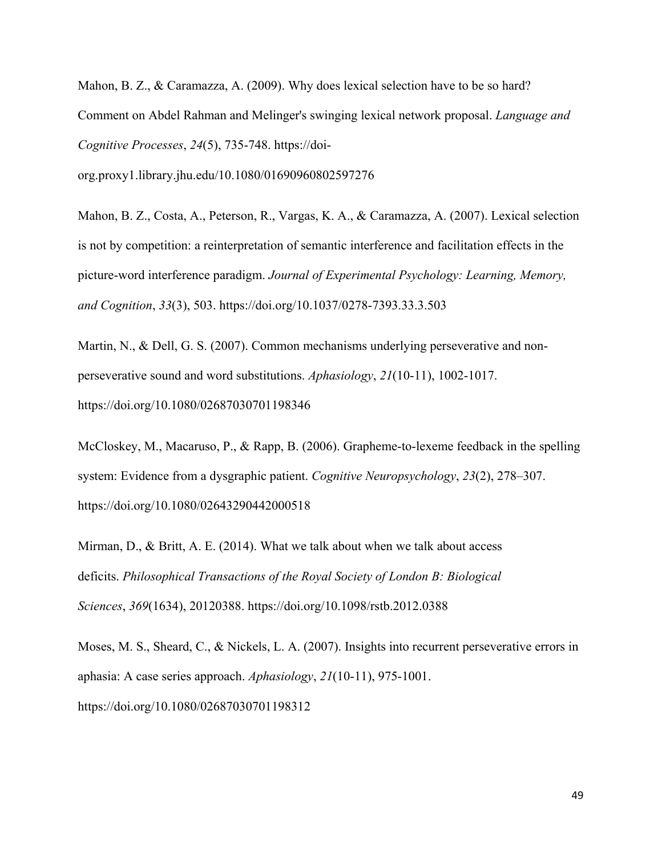Mahon, B. Z., & Caramazza, A. (2009). Why does lexical selection have to be so hard? Comment on Abdel Rahman and Melinger's swinging lexical network proposal. *Language and Cognitive Processes*, *24*(5), 735-748. https://doi-

org.proxy1.library.jhu.edu/10.1080/01690960802597276

Mahon, B. Z., Costa, A., Peterson, R., Vargas, K. A., & Caramazza, A. (2007). Lexical selection is not by competition: a reinterpretation of semantic interference and facilitation effects in the picture-word interference paradigm. *Journal of Experimental Psychology: Learning, Memory, and Cognition*, *33*(3), 503. https://doi.org/10.1037/0278-7393.33.3.503

Martin, N., & Dell, G. S. (2007). Common mechanisms underlying perseverative and nonperseverative sound and word substitutions. *Aphasiology*, *21*(10-11), 1002-1017. https://doi.org/10.1080/02687030701198346

McCloskey, M., Macaruso, P., & Rapp, B. (2006). Grapheme-to-lexeme feedback in the spelling system: Evidence from a dysgraphic patient. *Cognitive Neuropsychology*, *23*(2), 278–307. https://doi.org/10.1080/02643290442000518

Mirman, D., & Britt, A. E. (2014). What we talk about when we talk about access deficits. *Philosophical Transactions of the Royal Society of London B: Biological Sciences*, *369*(1634), 20120388. https://doi.org/10.1098/rstb.2012.0388

Moses, M. S., Sheard, C., & Nickels, L. A. (2007). Insights into recurrent perseverative errors in aphasia: A case series approach. *Aphasiology*, *21*(10-11), 975-1001. https://doi.org/10.1080/02687030701198312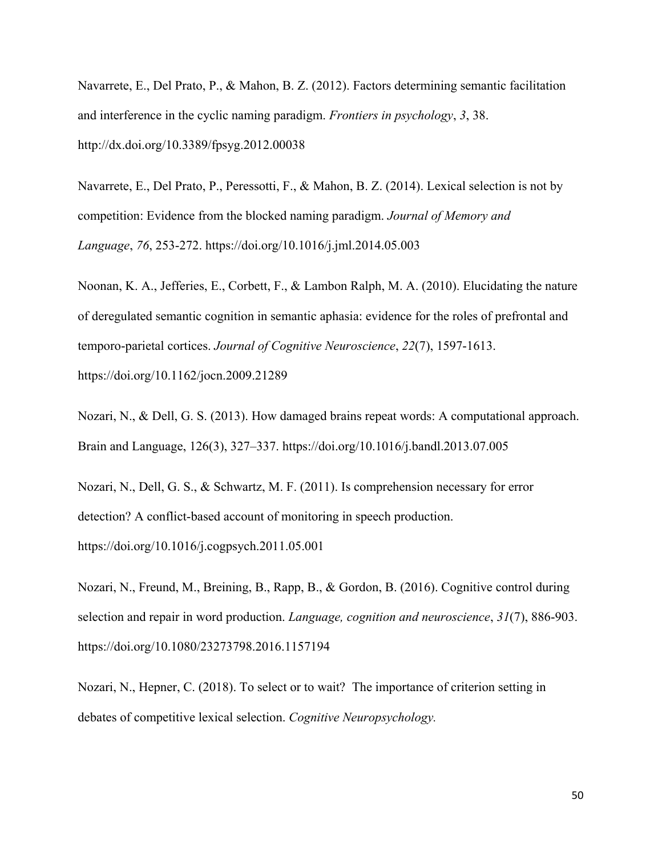Navarrete, E., Del Prato, P., & Mahon, B. Z. (2012). Factors determining semantic facilitation and interference in the cyclic naming paradigm. *Frontiers in psychology*, *3*, 38. http://dx.doi.org/10.3389/fpsyg.2012.00038

Navarrete, E., Del Prato, P., Peressotti, F., & Mahon, B. Z. (2014). Lexical selection is not by competition: Evidence from the blocked naming paradigm. *Journal of Memory and Language*, *76*, 253-272. https://doi.org/10.1016/j.jml.2014.05.003

Noonan, K. A., Jefferies, E., Corbett, F., & Lambon Ralph, M. A. (2010). Elucidating the nature of deregulated semantic cognition in semantic aphasia: evidence for the roles of prefrontal and temporo-parietal cortices. *Journal of Cognitive Neuroscience*, *22*(7), 1597-1613.

https://doi.org/10.1162/jocn.2009.21289

Nozari, N., & Dell, G. S. (2013). How damaged brains repeat words: A computational approach. Brain and Language, 126(3), 327–337. https://doi.org/10.1016/j.bandl.2013.07.005

Nozari, N., Dell, G. S., & Schwartz, M. F. (2011). Is comprehension necessary for error detection? A conflict-based account of monitoring in speech production. https://doi.org/10.1016/j.cogpsych.2011.05.001

Nozari, N., Freund, M., Breining, B., Rapp, B., & Gordon, B. (2016). Cognitive control during selection and repair in word production. *Language, cognition and neuroscience*, *31*(7), 886-903. https://doi.org/10.1080/23273798.2016.1157194

Nozari, N., Hepner, C. (2018). To select or to wait? The importance of criterion setting in debates of competitive lexical selection. *Cognitive Neuropsychology.*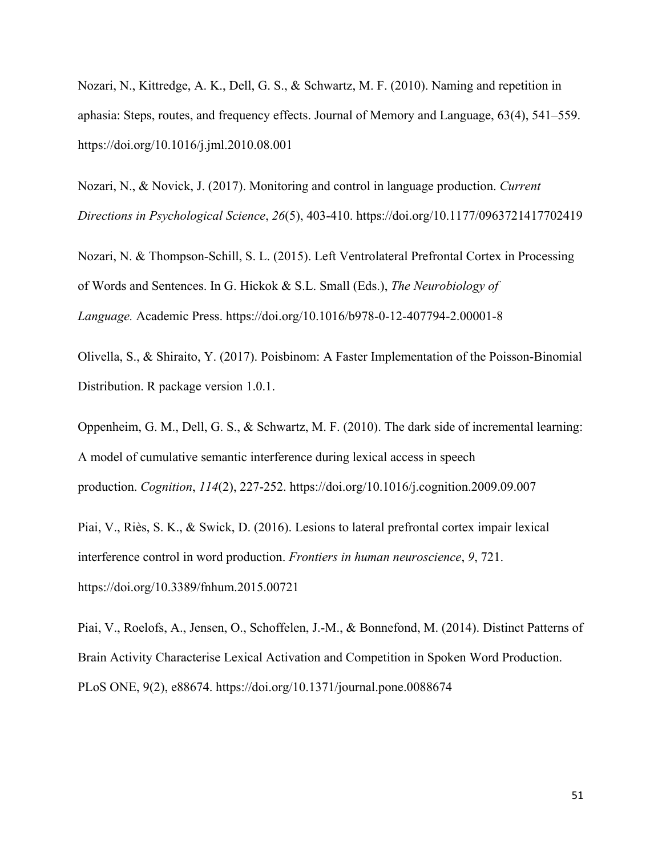Nozari, N., Kittredge, A. K., Dell, G. S., & Schwartz, M. F. (2010). Naming and repetition in aphasia: Steps, routes, and frequency effects. Journal of Memory and Language, 63(4), 541–559. https://doi.org/10.1016/j.jml.2010.08.001

Nozari, N., & Novick, J. (2017). Monitoring and control in language production. *Current Directions in Psychological Science*, *26*(5), 403-410. https://doi.org/10.1177/0963721417702419

Nozari, N. & Thompson-Schill, S. L. (2015). Left Ventrolateral Prefrontal Cortex in Processing of Words and Sentences. In G. Hickok & S.L. Small (Eds.), *The Neurobiology of Language.* Academic Press. https://doi.org/10.1016/b978-0-12-407794-2.00001-8

Olivella, S., & Shiraito, Y. (2017). Poisbinom: A Faster Implementation of the Poisson-Binomial Distribution. R package version 1.0.1.

Oppenheim, G. M., Dell, G. S., & Schwartz, M. F. (2010). The dark side of incremental learning: A model of cumulative semantic interference during lexical access in speech production. *Cognition*, *114*(2), 227-252. https://doi.org/10.1016/j.cognition.2009.09.007

Piai, V., Riès, S. K., & Swick, D. (2016). Lesions to lateral prefrontal cortex impair lexical interference control in word production. *Frontiers in human neuroscience*, *9*, 721. https://doi.org/10.3389/fnhum.2015.00721

Piai, V., Roelofs, A., Jensen, O., Schoffelen, J.-M., & Bonnefond, M. (2014). Distinct Patterns of Brain Activity Characterise Lexical Activation and Competition in Spoken Word Production. PLoS ONE, 9(2), e88674. https://doi.org/10.1371/journal.pone.0088674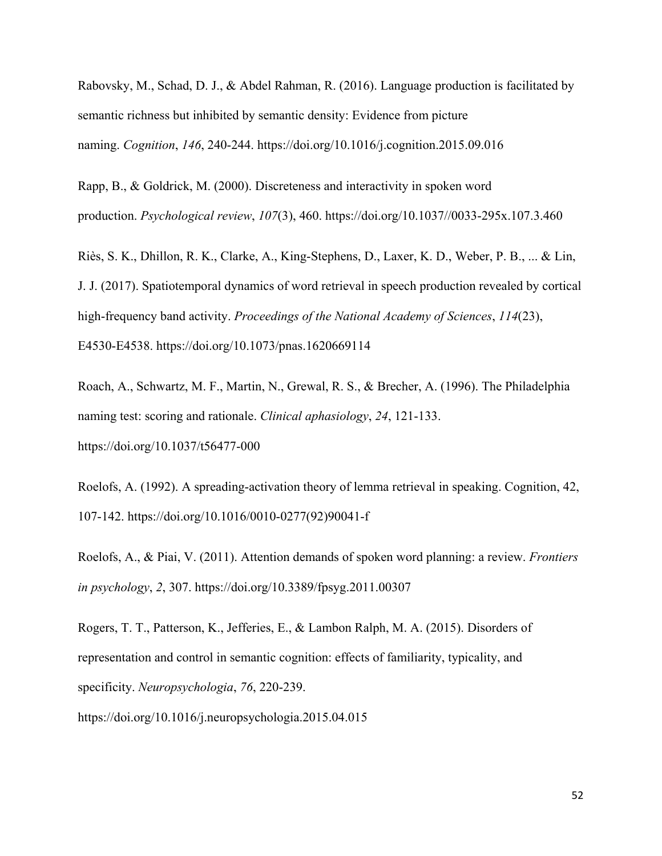Rabovsky, M., Schad, D. J., & Abdel Rahman, R. (2016). Language production is facilitated by semantic richness but inhibited by semantic density: Evidence from picture naming. *Cognition*, *146*, 240-244. https://doi.org/10.1016/j.cognition.2015.09.016

Rapp, B., & Goldrick, M. (2000). Discreteness and interactivity in spoken word production. *Psychological review*, *107*(3), 460. https://doi.org/10.1037//0033-295x.107.3.460

Riès, S. K., Dhillon, R. K., Clarke, A., King-Stephens, D., Laxer, K. D., Weber, P. B., ... & Lin, J. J. (2017). Spatiotemporal dynamics of word retrieval in speech production revealed by cortical high-frequency band activity. *Proceedings of the National Academy of Sciences*, *114*(23), E4530-E4538. https://doi.org/10.1073/pnas.1620669114

Roach, A., Schwartz, M. F., Martin, N., Grewal, R. S., & Brecher, A. (1996). The Philadelphia naming test: scoring and rationale. *Clinical aphasiology*, *24*, 121-133. https://doi.org/10.1037/t56477-000

Roelofs, A. (1992). A spreading-activation theory of lemma retrieval in speaking. Cognition, 42, 107-142. https://doi.org/10.1016/0010-0277(92)90041-f

Roelofs, A., & Piai, V. (2011). Attention demands of spoken word planning: a review. *Frontiers in psychology*, *2*, 307. https://doi.org/10.3389/fpsyg.2011.00307

Rogers, T. T., Patterson, K., Jefferies, E., & Lambon Ralph, M. A. (2015). Disorders of representation and control in semantic cognition: effects of familiarity, typicality, and specificity. *Neuropsychologia*, *76*, 220-239.

https://doi.org/10.1016/j.neuropsychologia.2015.04.015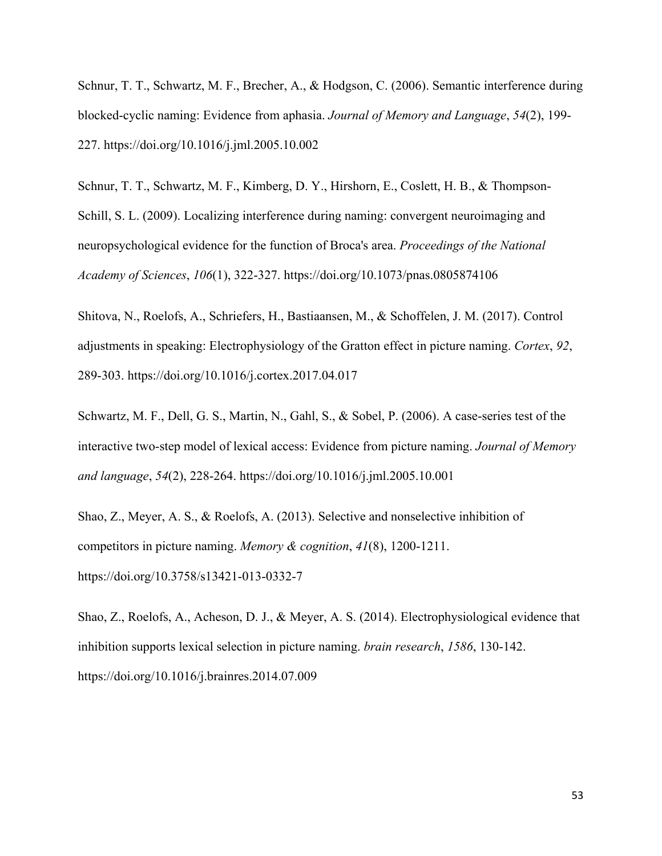Schnur, T. T., Schwartz, M. F., Brecher, A., & Hodgson, C. (2006). Semantic interference during blocked-cyclic naming: Evidence from aphasia. *Journal of Memory and Language*, *54*(2), 199- 227. https://doi.org/10.1016/j.jml.2005.10.002

Schnur, T. T., Schwartz, M. F., Kimberg, D. Y., Hirshorn, E., Coslett, H. B., & Thompson-Schill, S. L. (2009). Localizing interference during naming: convergent neuroimaging and neuropsychological evidence for the function of Broca's area. *Proceedings of the National Academy of Sciences*, *106*(1), 322-327. https://doi.org/10.1073/pnas.0805874106

Shitova, N., Roelofs, A., Schriefers, H., Bastiaansen, M., & Schoffelen, J. M. (2017). Control adjustments in speaking: Electrophysiology of the Gratton effect in picture naming. *Cortex*, *92*, 289-303. https://doi.org/10.1016/j.cortex.2017.04.017

Schwartz, M. F., Dell, G. S., Martin, N., Gahl, S., & Sobel, P. (2006). A case-series test of the interactive two-step model of lexical access: Evidence from picture naming. *Journal of Memory and language*, *54*(2), 228-264. https://doi.org/10.1016/j.jml.2005.10.001

Shao, Z., Meyer, A. S., & Roelofs, A. (2013). Selective and nonselective inhibition of competitors in picture naming. *Memory & cognition*, *41*(8), 1200-1211. https://doi.org/10.3758/s13421-013-0332-7

Shao, Z., Roelofs, A., Acheson, D. J., & Meyer, A. S. (2014). Electrophysiological evidence that inhibition supports lexical selection in picture naming. *brain research*, *1586*, 130-142. https://doi.org/10.1016/j.brainres.2014.07.009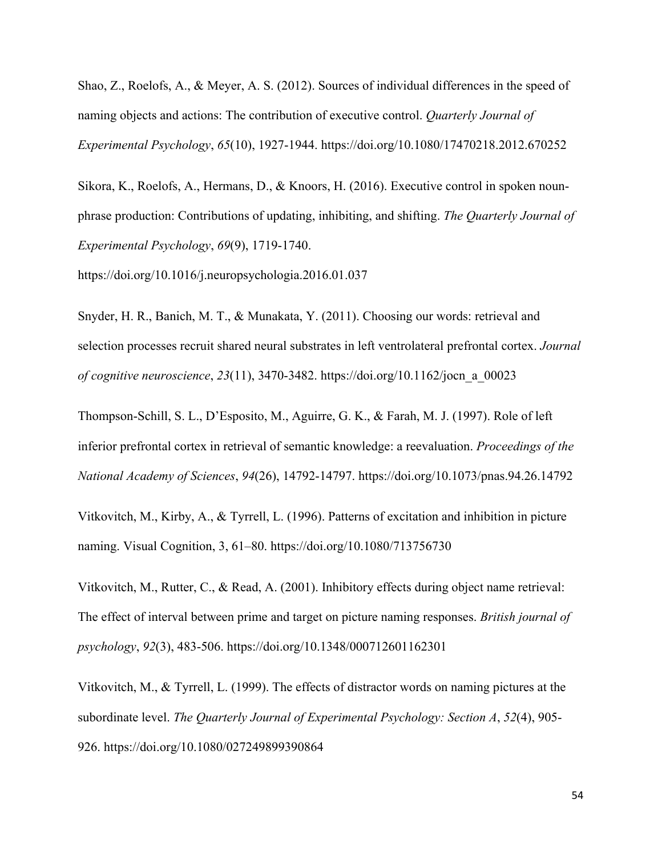Shao, Z., Roelofs, A., & Meyer, A. S. (2012). Sources of individual differences in the speed of naming objects and actions: The contribution of executive control. *Quarterly Journal of Experimental Psychology*, *65*(10), 1927-1944. https://doi.org/10.1080/17470218.2012.670252

Sikora, K., Roelofs, A., Hermans, D., & Knoors, H. (2016). Executive control in spoken nounphrase production: Contributions of updating, inhibiting, and shifting. *The Quarterly Journal of Experimental Psychology*, *69*(9), 1719-1740.

https://doi.org/10.1016/j.neuropsychologia.2016.01.037

Snyder, H. R., Banich, M. T., & Munakata, Y. (2011). Choosing our words: retrieval and selection processes recruit shared neural substrates in left ventrolateral prefrontal cortex. *Journal of cognitive neuroscience*, *23*(11), 3470-3482. https://doi.org/10.1162/jocn\_a\_00023

Thompson-Schill, S. L., D'Esposito, M., Aguirre, G. K., & Farah, M. J. (1997). Role of left inferior prefrontal cortex in retrieval of semantic knowledge: a reevaluation. *Proceedings of the National Academy of Sciences*, *94*(26), 14792-14797. https://doi.org/10.1073/pnas.94.26.14792

Vitkovitch, M., Kirby, A., & Tyrrell, L. (1996). Patterns of excitation and inhibition in picture naming. Visual Cognition, 3, 61–80. https://doi.org/10.1080/713756730

Vitkovitch, M., Rutter, C., & Read, A. (2001). Inhibitory effects during object name retrieval: The effect of interval between prime and target on picture naming responses. *British journal of psychology*, *92*(3), 483-506. https://doi.org/10.1348/000712601162301

Vitkovitch, M., & Tyrrell, L. (1999). The effects of distractor words on naming pictures at the subordinate level. *The Quarterly Journal of Experimental Psychology: Section A*, *52*(4), 905- 926. https://doi.org/10.1080/027249899390864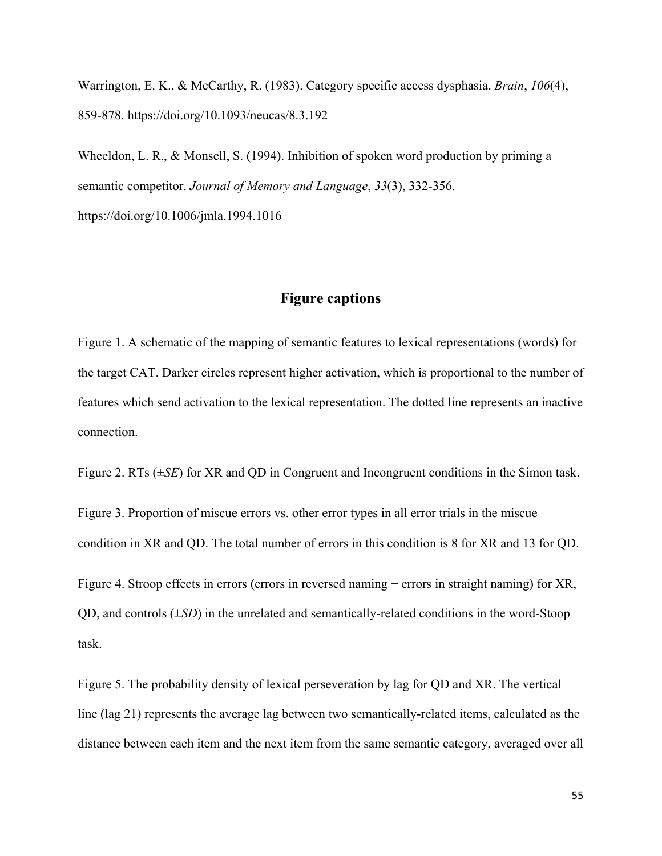Warrington, E. K., & McCarthy, R. (1983). Category specific access dysphasia. *Brain*, *106*(4), 859-878. https://doi.org/10.1093/neucas/8.3.192

Wheeldon, L. R., & Monsell, S. (1994). Inhibition of spoken word production by priming a semantic competitor. *Journal of Memory and Language*, *33*(3), 332-356. https://doi.org/10.1006/jmla.1994.1016

## **Figure captions**

Figure 1. A schematic of the mapping of semantic features to lexical representations (words) for the target CAT. Darker circles represent higher activation, which is proportional to the number of features which send activation to the lexical representation. The dotted line represents an inactive connection.

Figure 2. RTs (±*SE*) for XR and QD in Congruent and Incongruent conditions in the Simon task.

Figure 3. Proportion of miscue errors vs. other error types in all error trials in the miscue condition in XR and QD. The total number of errors in this condition is 8 for XR and 13 for QD.

Figure 4. Stroop effects in errors (errors in reversed naming − errors in straight naming) for XR, QD, and controls (±*SD*) in the unrelated and semantically-related conditions in the word-Stoop task.

Figure 5. The probability density of lexical perseveration by lag for QD and XR. The vertical line (lag 21) represents the average lag between two semantically-related items, calculated as the distance between each item and the next item from the same semantic category, averaged over all